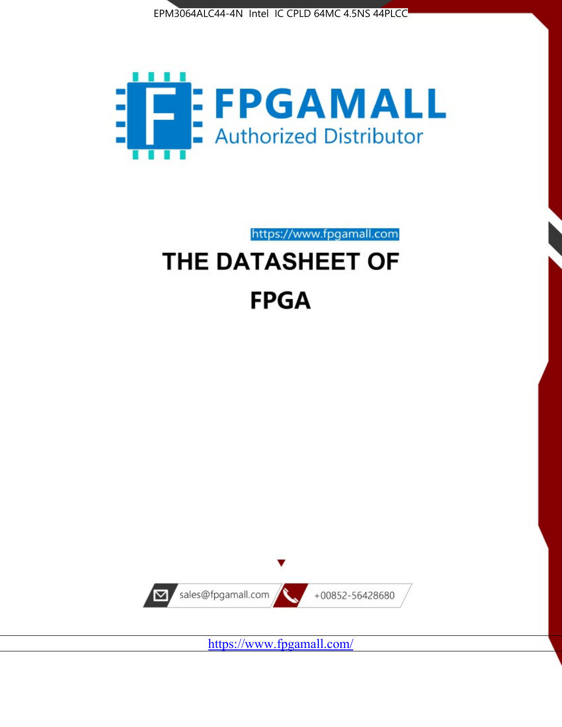



https://www.fpgamall.com

# THE DATASHEET OF **FPGA**



<https://www.fpgamall.com/>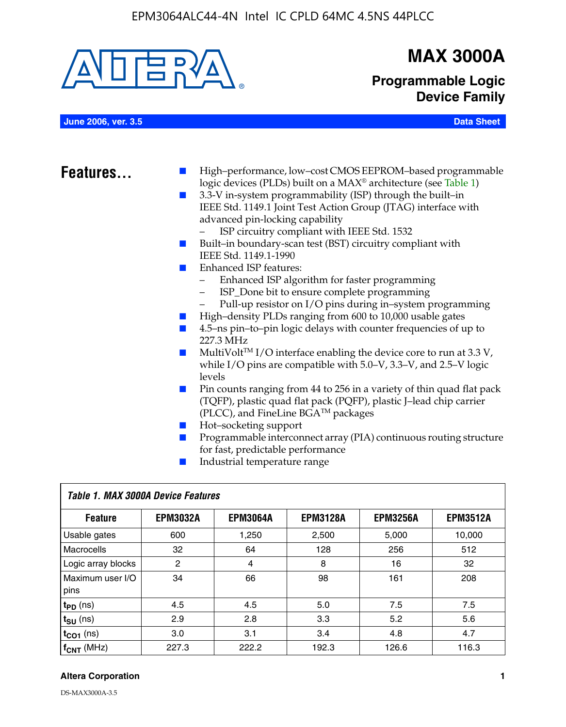

# **MAX 3000A**

**Programmable Logic Device Family**

**June 2006, ver. 3.5 Data Sheet**

- **Features.** High–performance, low–cost CMOS EEPROM–based programmable logic devices (PLDs) built on a MAX® architecture (see Table 1)
	- 3.3-V in-system programmability (ISP) through the built–in IEEE Std. 1149.1 Joint Test Action Group (JTAG) interface with advanced pin-locking capability
		- ISP circuitry compliant with IEEE Std. 1532
	- Built–in boundary-scan test (BST) circuitry compliant with IEEE Std. 1149.1-1990
	- Enhanced ISP features:
		- Enhanced ISP algorithm for faster programming
		- ISP\_Done bit to ensure complete programming
		- Pull-up resistor on I/O pins during in–system programming
	- High–density PLDs ranging from 600 to 10,000 usable gates
	- 4.5–ns pin–to–pin logic delays with counter frequencies of up to 227.3 MHz
	- $\blacksquare$  MultiVolt<sup>TM</sup> I/O interface enabling the device core to run at 3.3 V, while I/O pins are compatible with 5.0–V, 3.3–V, and 2.5–V logic levels
	- Pin counts ranging from 44 to 256 in a variety of thin quad flat pack (TQFP), plastic quad flat pack (PQFP), plastic J–lead chip carrier (PLCC), and FineLine BGATM packages
	- Hot–socketing support
	- Programmable interconnect array (PIA) continuous routing structure for fast, predictable performance
	- Industrial temperature range

| Table 1. MAX 3000A Device Features |                 |                 |                 |                 |                 |  |
|------------------------------------|-----------------|-----------------|-----------------|-----------------|-----------------|--|
| <b>Feature</b>                     | <b>EPM3032A</b> | <b>EPM3064A</b> | <b>EPM3128A</b> | <b>EPM3256A</b> | <b>EPM3512A</b> |  |
| Usable gates                       | 600             | 1,250           | 2,500           | 5,000           | 10,000          |  |
| Macrocells                         | 32              | 64              | 128             | 256             | 512             |  |
| Logic array blocks                 | 2               | $\overline{4}$  | 8               | 16              | 32              |  |
| Maximum user I/O<br>pins           | 34              | 66              | 98              | 161             | 208             |  |
| $t_{PD}$ (ns)                      | 4.5             | 4.5             | 5.0             | 7.5             | 7.5             |  |
| $t_{SU}$ (ns)                      | 2.9             | 2.8             | 3.3             | 5.2             | 5.6             |  |
| $t_{CO1}$ (ns)                     | 3.0             | 3.1             | 3.4             | 4.8             | 4.7             |  |
| $f_{\text{CNT}}$ (MHz)             | 227.3           | 222.2           | 192.3           | 126.6           | 116.3           |  |

#### **Altera Corporation 1**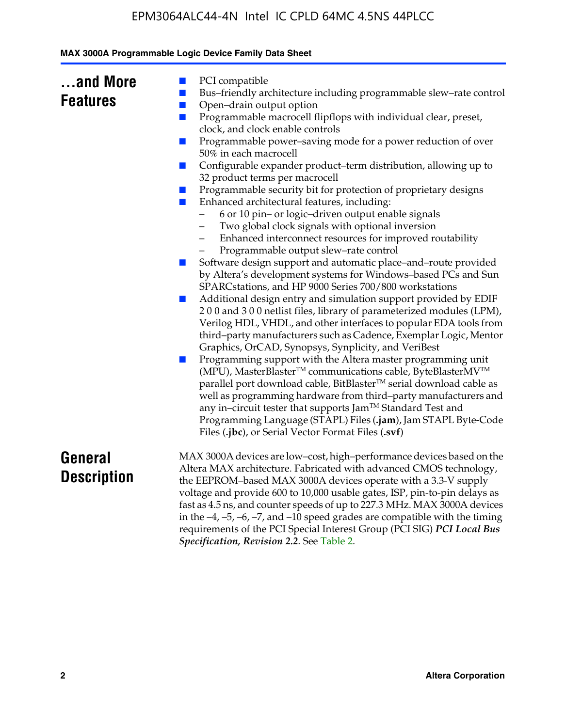| and More        |  |
|-----------------|--|
| <b>Features</b> |  |

- PCI compatible
- Bus–friendly architecture including programmable slew–rate control
- Open–drain output option
- Programmable macrocell flipflops with individual clear, preset, clock, and clock enable controls
- Programmable power–saving mode for a power reduction of over 50% in each macrocell
- Configurable expander product–term distribution, allowing up to 32 product terms per macrocell
- Programmable security bit for protection of proprietary designs
- Enhanced architectural features, including:
	- 6 or 10 pin– or logic–driven output enable signals
	- Two global clock signals with optional inversion
	- Enhanced interconnect resources for improved routability
	- Programmable output slew–rate control
- Software design support and automatic place–and–route provided by Altera's development systems for Windows–based PCs and Sun SPARCstations, and HP 9000 Series 700/800 workstations
- Additional design entry and simulation support provided by EDIF 2 0 0 and 3 0 0 netlist files, library of parameterized modules (LPM), Verilog HDL, VHDL, and other interfaces to popular EDA tools from third–party manufacturers such as Cadence, Exemplar Logic, Mentor Graphics, OrCAD, Synopsys, Synplicity, and VeriBest
- Programming support with the Altera master programming unit (MPU), MasterBlaster™ communications cable, ByteBlasterMV™ parallel port download cable, BitBlaster™ serial download cable as well as programming hardware from third–party manufacturers and any in–circuit tester that supports Jam™ Standard Test and Programming Language (STAPL) Files (**.jam**), Jam STAPL Byte-Code Files (**.jbc**), or Serial Vector Format Files (**.svf**)

## **General Description**

MAX 3000A devices are low–cost, high–performance devices based on the Altera MAX architecture. Fabricated with advanced CMOS technology, the EEPROM–based MAX 3000A devices operate with a 3.3-V supply voltage and provide 600 to 10,000 usable gates, ISP, pin-to-pin delays as fast as 4.5 ns, and counter speeds of up to 227.3 MHz. MAX 3000A devices in the  $-4$ ,  $-5$ ,  $-6$ ,  $-7$ , and  $-10$  speed grades are compatible with the timing requirements of the PCI Special Interest Group (PCI SIG) *PCI Local Bus Specification, Revision 2.2*. See Table 2.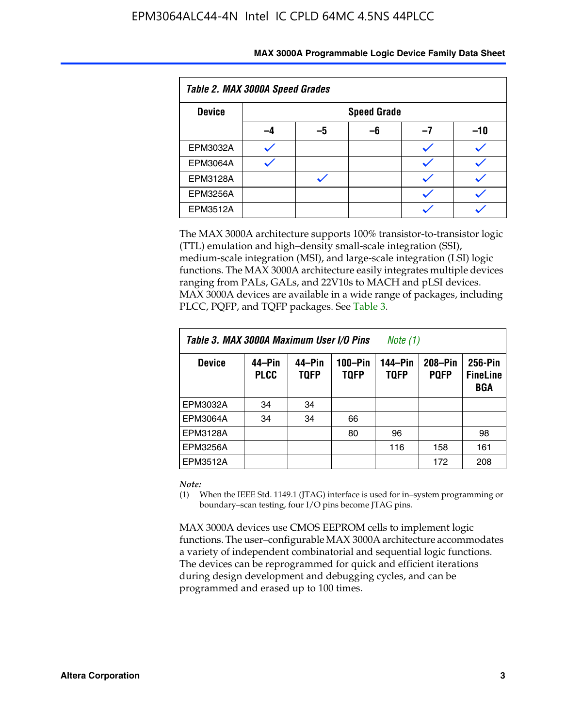| Table 2. MAX 3000A Speed Grades |    |                    |    |    |     |  |  |
|---------------------------------|----|--------------------|----|----|-----|--|--|
| <b>Device</b>                   |    | <b>Speed Grade</b> |    |    |     |  |  |
|                                 | -4 | -5                 | -6 | -1 | -10 |  |  |
| EPM3032A                        |    |                    |    |    |     |  |  |
| <b>EPM3064A</b>                 |    |                    |    |    |     |  |  |
| <b>EPM3128A</b>                 |    |                    |    |    |     |  |  |
| <b>EPM3256A</b>                 |    |                    |    |    |     |  |  |
| EPM3512A                        |    |                    |    |    |     |  |  |

The MAX 3000A architecture supports 100% transistor-to-transistor logic (TTL) emulation and high–density small-scale integration (SSI), medium-scale integration (MSI), and large-scale integration (LSI) logic functions. The MAX 3000A architecture easily integrates multiple devices ranging from PALs, GALs, and 22V10s to MACH and pLSI devices. MAX 3000A devices are available in a wide range of packages, including PLCC, PQFP, and TQFP packages. See Table 3.

| Table 3. MAX 3000A Maximum User I/O Pins | Note (1)              |                       |                        |                        |                        |                                   |
|------------------------------------------|-----------------------|-----------------------|------------------------|------------------------|------------------------|-----------------------------------|
| <b>Device</b>                            | 44–Pin<br><b>PLCC</b> | 44–Pin<br><b>TQFP</b> | 100-Pin<br><b>TQFP</b> | 144–Pin<br><b>TQFP</b> | 208-Pin<br><b>PQFP</b> | 256-Pin<br><b>FineLine</b><br>BGA |
| EPM3032A                                 | 34                    | 34                    |                        |                        |                        |                                   |
| <b>EPM3064A</b>                          | 34                    | 34                    | 66                     |                        |                        |                                   |
| EPM3128A                                 |                       |                       | 80                     | 96                     |                        | 98                                |
| EPM3256A                                 |                       |                       |                        | 116                    | 158                    | 161                               |
| EPM3512A                                 |                       |                       |                        |                        | 172                    | 208                               |

#### *Note:*

(1) When the IEEE Std. 1149.1 (JTAG) interface is used for in–system programming or boundary–scan testing, four I/O pins become JTAG pins.

MAX 3000A devices use CMOS EEPROM cells to implement logic functions. The user–configurable MAX 3000A architecture accommodates a variety of independent combinatorial and sequential logic functions. The devices can be reprogrammed for quick and efficient iterations during design development and debugging cycles, and can be programmed and erased up to 100 times.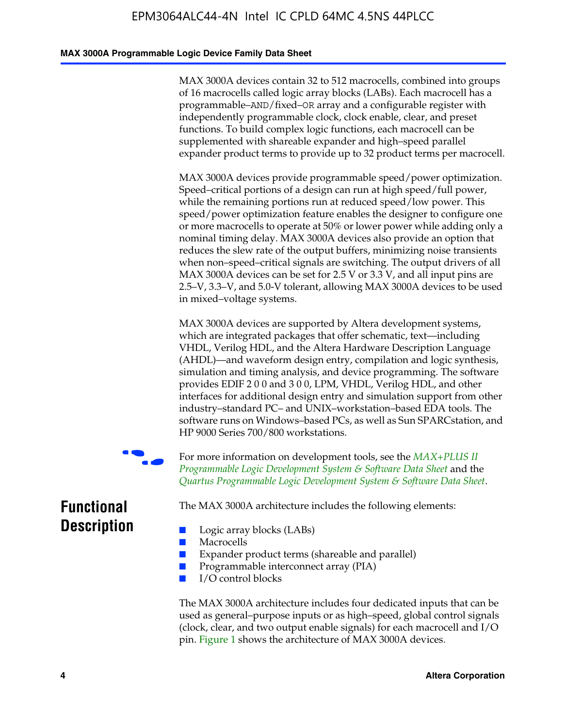#### **MAX 3000A Programmable Logic Device Family Data Sheet**

MAX 3000A devices contain 32 to 512 macrocells, combined into groups of 16 macrocells called logic array blocks (LABs). Each macrocell has a programmable–AND/fixed–OR array and a configurable register with independently programmable clock, clock enable, clear, and preset functions. To build complex logic functions, each macrocell can be supplemented with shareable expander and high–speed parallel expander product terms to provide up to 32 product terms per macrocell.

MAX 3000A devices provide programmable speed/power optimization. Speed–critical portions of a design can run at high speed/full power, while the remaining portions run at reduced speed/low power. This speed/power optimization feature enables the designer to configure one or more macrocells to operate at 50% or lower power while adding only a nominal timing delay. MAX 3000A devices also provide an option that reduces the slew rate of the output buffers, minimizing noise transients when non–speed–critical signals are switching. The output drivers of all MAX 3000A devices can be set for 2.5 V or 3.3 V, and all input pins are 2.5–V, 3.3–V, and 5.0-V tolerant, allowing MAX 3000A devices to be used in mixed–voltage systems.

MAX 3000A devices are supported by Altera development systems, which are integrated packages that offer schematic, text—including VHDL, Verilog HDL, and the Altera Hardware Description Language (AHDL)—and waveform design entry, compilation and logic synthesis, simulation and timing analysis, and device program[ming. The software](http://www.altera.com/literature/ds/dsmii.pdf)  [provides EDIF 2 0 0 and 3 0 0, LPM, VHDL, Verilog HDL, an](http://www.altera.com/literature/ds/dsmii.pdf)d other [interfaces for additional design entry and simulation support from ot](http://www.altera.com/literature/ds/quartus.pdf)her industry–standard PC– and UNIX–workstation–based EDA tools. The software runs on Windows–based PCs, as well as Sun SPARCstation, and HP 9000 Series 700/800 workstations.

For more information on development tools, see the *MAX+PLUS II Programmable Logic Development System & Software Data Sheet* and the *Quartus Programmable Logic Development System & Software Data Sheet*.

**Functional Description**

The MAX 3000A architecture includes the following elements:

- Macrocells
- Expander product terms (shareable and parallel)
- Programmable interconnect array (PIA)
- I/O control blocks

■ Logic array blocks (LABs)

The MAX 3000A architecture includes four dedicated inputs that can be used as general–purpose inputs or as high–speed, global control signals (clock, clear, and two output enable signals) for each macrocell and I/O pin. Figure 1 shows the architecture of MAX 3000A devices.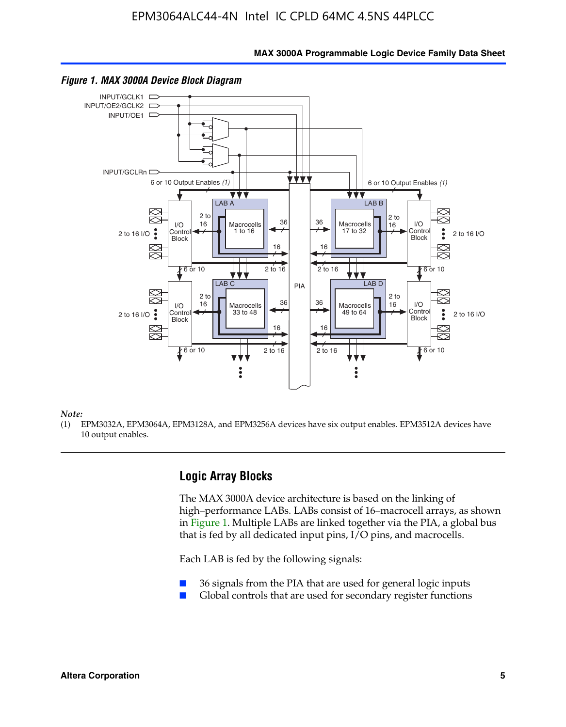**MAX 3000A Programmable Logic Device Family Data Sheet**



#### *Figure 1. MAX 3000A Device Block Diagram*

*Note:*

(1) EPM3032A, EPM3064A, EPM3128A, and EPM3256A devices have six output enables. EPM3512A devices have 10 output enables.

### **Logic Array Blocks**

The MAX 3000A device architecture is based on the linking of high–performance LABs. LABs consist of 16–macrocell arrays, as shown in Figure 1. Multiple LABs are linked together via the PIA, a global bus that is fed by all dedicated input pins, I/O pins, and macrocells.

Each LAB is fed by the following signals:

- 36 signals from the PIA that are used for general logic inputs
- Global controls that are used for secondary register functions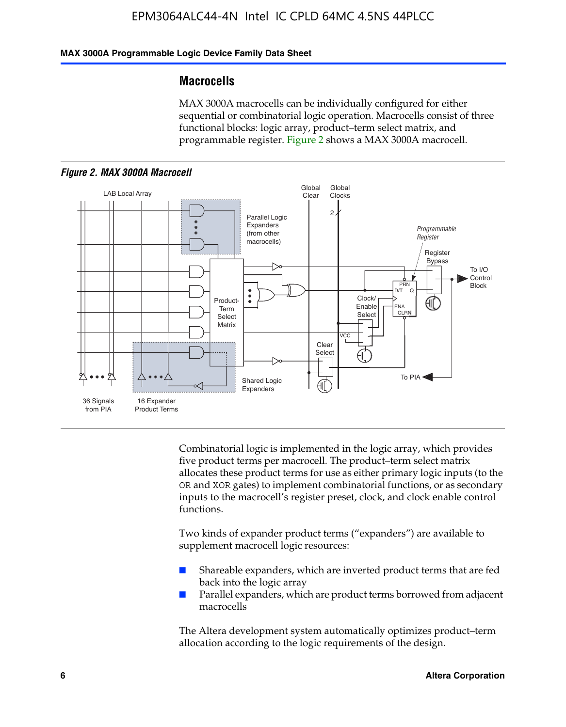#### **MAX 3000A Programmable Logic Device Family Data Sheet**

### **Macrocells**

MAX 3000A macrocells can be individually configured for either sequential or combinatorial logic operation. Macrocells consist of three functional blocks: logic array, product–term select matrix, and programmable register. Figure 2 shows a MAX 3000A macrocell.





Combinatorial logic is implemented in the logic array, which provides five product terms per macrocell. The product–term select matrix allocates these product terms for use as either primary logic inputs (to the OR and XOR gates) to implement combinatorial functions, or as secondary inputs to the macrocell's register preset, clock, and clock enable control functions.

Two kinds of expander product terms ("expanders") are available to supplement macrocell logic resources:

- Shareable expanders, which are inverted product terms that are fed back into the logic array
- Parallel expanders, which are product terms borrowed from adjacent macrocells

The Altera development system automatically optimizes product–term allocation according to the logic requirements of the design.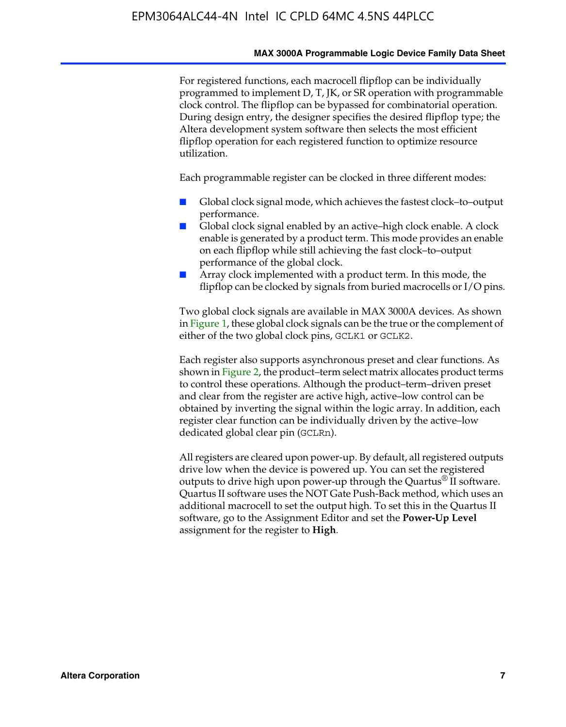#### **MAX 3000A Programmable Logic Device Family Data Sheet**

For registered functions, each macrocell flipflop can be individually programmed to implement D, T, JK, or SR operation with programmable clock control. The flipflop can be bypassed for combinatorial operation. During design entry, the designer specifies the desired flipflop type; the Altera development system software then selects the most efficient flipflop operation for each registered function to optimize resource utilization.

Each programmable register can be clocked in three different modes:

- Global clock signal mode, which achieves the fastest clock–to–output performance.
- Global clock signal enabled by an active–high clock enable. A clock enable is generated by a product term. This mode provides an enable on each flipflop while still achieving the fast clock–to–output performance of the global clock.
- Array clock implemented with a product term. In this mode, the flipflop can be clocked by signals from buried macrocells or I/O pins.

Two global clock signals are available in MAX 3000A devices. As shown in Figure 1, these global clock signals can be the true or the complement of either of the two global clock pins, GCLK1 or GCLK2.

Each register also supports asynchronous preset and clear functions. As shown in Figure 2, the product–term select matrix allocates product terms to control these operations. Although the product–term–driven preset and clear from the register are active high, active–low control can be obtained by inverting the signal within the logic array. In addition, each register clear function can be individually driven by the active–low dedicated global clear pin (GCLRn).

All registers are cleared upon power-up. By default, all registered outputs drive low when the device is powered up. You can set the registered outputs to drive high upon power-up through the Quartus<sup>®</sup> II software. Quartus II software uses the NOT Gate Push-Back method, which uses an additional macrocell to set the output high. To set this in the Quartus II software, go to the Assignment Editor and set the **Power-Up Level** assignment for the register to **High**.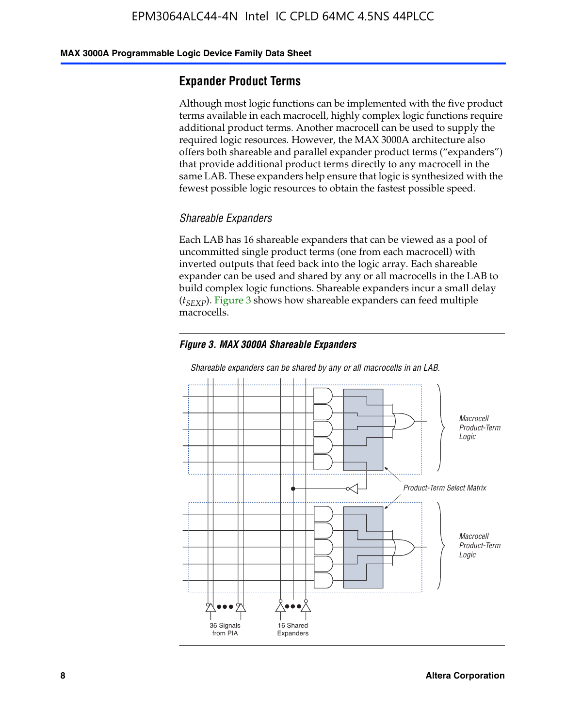#### **MAX 3000A Programmable Logic Device Family Data Sheet**

### **Expander Product Terms**

Although most logic functions can be implemented with the five product terms available in each macrocell, highly complex logic functions require additional product terms. Another macrocell can be used to supply the required logic resources. However, the MAX 3000A architecture also offers both shareable and parallel expander product terms ("expanders") that provide additional product terms directly to any macrocell in the same LAB. These expanders help ensure that logic is synthesized with the fewest possible logic resources to obtain the fastest possible speed.

#### *Shareable Expanders*

Each LAB has 16 shareable expanders that can be viewed as a pool of uncommitted single product terms (one from each macrocell) with inverted outputs that feed back into the logic array. Each shareable expander can be used and shared by any or all macrocells in the LAB to build complex logic functions. Shareable expanders incur a small delay (*t<sub>SEXP</sub>*). Figure 3 shows how shareable expanders can feed multiple macrocells.

#### *Figure 3. MAX 3000A Shareable Expanders*



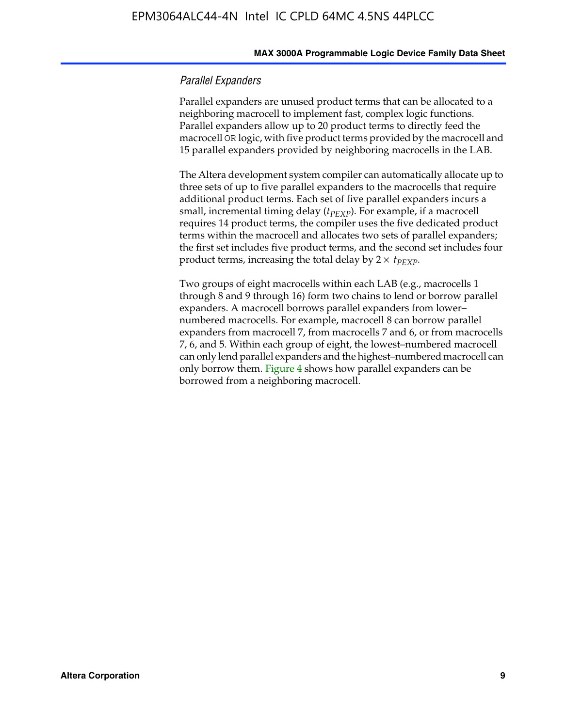#### **MAX 3000A Programmable Logic Device Family Data Sheet**

#### *Parallel Expanders*

Parallel expanders are unused product terms that can be allocated to a neighboring macrocell to implement fast, complex logic functions. Parallel expanders allow up to 20 product terms to directly feed the macrocell OR logic, with five product terms provided by the macrocell and 15 parallel expanders provided by neighboring macrocells in the LAB.

The Altera development system compiler can automatically allocate up to three sets of up to five parallel expanders to the macrocells that require additional product terms. Each set of five parallel expanders incurs a small, incremental timing delay ( $t_{PEXP}$ ). For example, if a macrocell requires 14 product terms, the compiler uses the five dedicated product terms within the macrocell and allocates two sets of parallel expanders; the first set includes five product terms, and the second set includes four product terms, increasing the total delay by  $2 \times t_{PEXP}$ .

Two groups of eight macrocells within each LAB (e.g., macrocells 1 through 8 and 9 through 16) form two chains to lend or borrow parallel expanders. A macrocell borrows parallel expanders from lower– numbered macrocells. For example, macrocell 8 can borrow parallel expanders from macrocell 7, from macrocells 7 and 6, or from macrocells 7, 6, and 5. Within each group of eight, the lowest–numbered macrocell can only lend parallel expanders and the highest–numbered macrocell can only borrow them. Figure 4 shows how parallel expanders can be borrowed from a neighboring macrocell.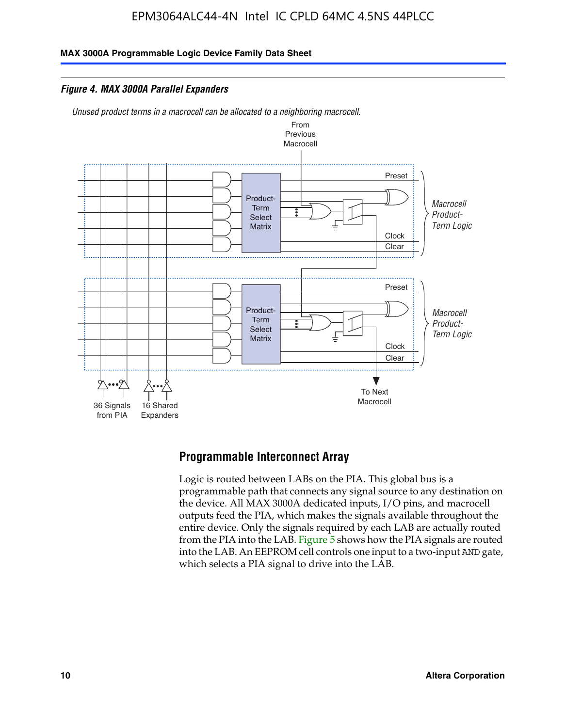**MAX 3000A Programmable Logic Device Family Data Sheet**

*Figure 4. MAX 3000A Parallel Expanders*

*Unused product terms in a macrocell can be allocated to a neighboring macrocell.*



### **Programmable Interconnect Array**

Logic is routed between LABs on the PIA. This global bus is a programmable path that connects any signal source to any destination on the device. All MAX 3000A dedicated inputs, I/O pins, and macrocell outputs feed the PIA, which makes the signals available throughout the entire device. Only the signals required by each LAB are actually routed from the PIA into the LAB. Figure 5 shows how the PIA signals are routed into the LAB. An EEPROM cell controls one input to a two-input AND gate, which selects a PIA signal to drive into the LAB.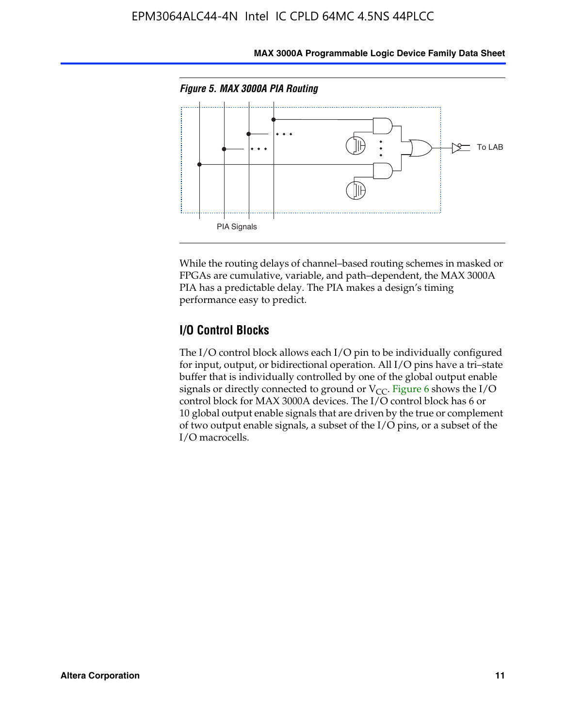

**MAX 3000A Programmable Logic Device Family Data Sheet**

While the routing delays of channel–based routing schemes in masked or FPGAs are cumulative, variable, and path–dependent, the MAX 3000A PIA has a predictable delay. The PIA makes a design's timing performance easy to predict.

### **I/O Control Blocks**

The I/O control block allows each I/O pin to be individually configured for input, output, or bidirectional operation. All I/O pins have a tri–state buffer that is individually controlled by one of the global output enable signals or directly connected to ground or  $V_{CC}$ . Figure 6 shows the I/O control block for MAX 3000A devices. The I/O control block has 6 or 10 global output enable signals that are driven by the true or complement of two output enable signals, a subset of the I/O pins, or a subset of the I/O macrocells.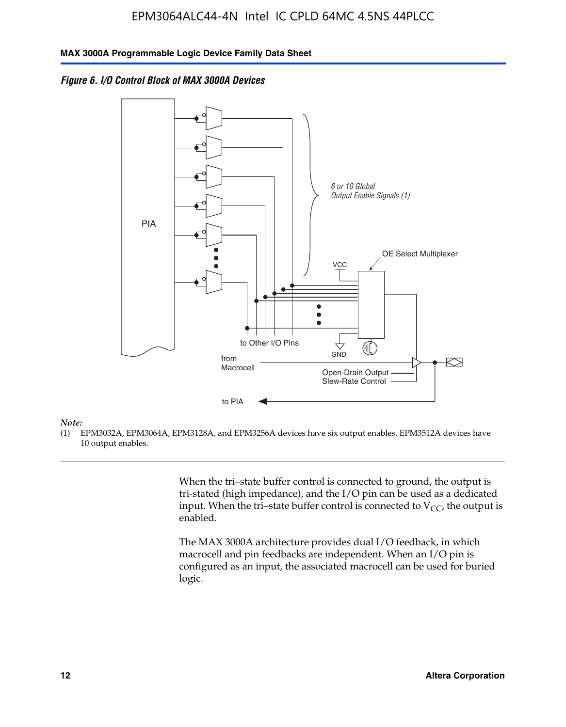*Figure 6. I/O Control Block of MAX 3000A Devices*



#### *Note:*

(1) EPM3032A, EPM3064A, EPM3128A, and EPM3256A devices have six output enables. EPM3512A devices have 10 output enables.

> When the tri–state buffer control is connected to ground, the output is tri-stated (high impedance), and the I/O pin can be used as a dedicated input. When the tri–state buffer control is connected to  $V_{CC}$ , the output is enabled.

The MAX 3000A architecture provides dual I/O feedback, in which macrocell and pin feedbacks are independent. When an I/O pin is configured as an input, the associated macrocell can be used for buried logic.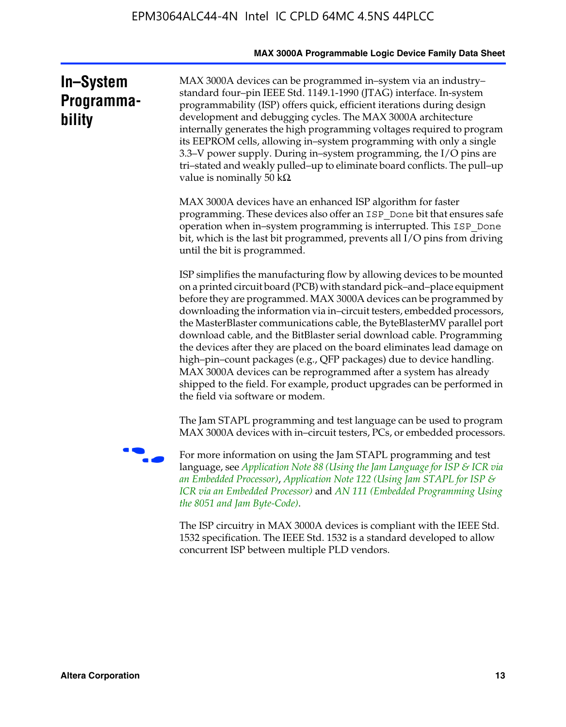|                                   | MAX 3000A Programmable Logic Device Family Data Sheet                                                                                                                                                                                                                                                                                                                                                                                                                                                                                                                                                                                                                                                                                                                                           |
|-----------------------------------|-------------------------------------------------------------------------------------------------------------------------------------------------------------------------------------------------------------------------------------------------------------------------------------------------------------------------------------------------------------------------------------------------------------------------------------------------------------------------------------------------------------------------------------------------------------------------------------------------------------------------------------------------------------------------------------------------------------------------------------------------------------------------------------------------|
| In-System<br>Programma-<br>bility | MAX 3000A devices can be programmed in-system via an industry-<br>standard four-pin IEEE Std. 1149.1-1990 (JTAG) interface. In-system<br>programmability (ISP) offers quick, efficient iterations during design<br>development and debugging cycles. The MAX 3000A architecture<br>internally generates the high programming voltages required to program<br>its EEPROM cells, allowing in-system programming with only a single<br>3.3–V power supply. During in–system programming, the I/O pins are<br>tri-stated and weakly pulled-up to eliminate board conflicts. The pull-up<br>value is nominally 50 $k\Omega$                                                                                                                                                                          |
|                                   | MAX 3000A devices have an enhanced ISP algorithm for faster<br>programming. These devices also offer an ISP_Done bit that ensures safe<br>operation when in-system programming is interrupted. This ISP_Done<br>bit, which is the last bit programmed, prevents all I/O pins from driving<br>until the bit is programmed.                                                                                                                                                                                                                                                                                                                                                                                                                                                                       |
|                                   | ISP simplifies the manufacturing flow by allowing devices to be mounted<br>on a printed circuit board (PCB) with standard pick-and-place equipment<br>before they are programmed. MAX 3000A devices can be programmed by<br>downloading the information via in-circuit testers, embedded processors,<br>the MasterBlaster communications cable, the ByteBlasterMV parallel port<br>download cable, and the BitBlaster serial download cable. Programming<br>the devices after they are placed on the board eliminates lead damage on<br>high-pin-count packages (e.g., QFP packages) due to device handling.<br>MAX 3000A devices can be reprogrammed after a system has already<br>shipped to the field. For example, product upgrades can be performed in<br>the field via software or modem. |
|                                   | The Jam STAPL programming and test language can be used to program<br>MAX 3000A devices with in-circuit testers, PCs, or embedded processors.                                                                                                                                                                                                                                                                                                                                                                                                                                                                                                                                                                                                                                                   |
|                                   | For more information on using the Jam STAPL programming and test<br>language, see Application Note 88 (Using the Jam Language for ISP & ICR via<br>an Embedded Processor), Application Note 122 (Using Jam STAPL for ISP $\mathcal S$<br>ICR via an Embedded Processor) and AN 111 (Embedded Programming Using<br>the 8051 and Jam Byte-Code).                                                                                                                                                                                                                                                                                                                                                                                                                                                  |
|                                   | The ISP circuitry in MAX 3000A devices is compliant with the IEEE Std.<br>1532 specification. The IEEE Std. 1532 is a standard developed to allow<br>concurrent ISP between multiple PLD vendors.                                                                                                                                                                                                                                                                                                                                                                                                                                                                                                                                                                                               |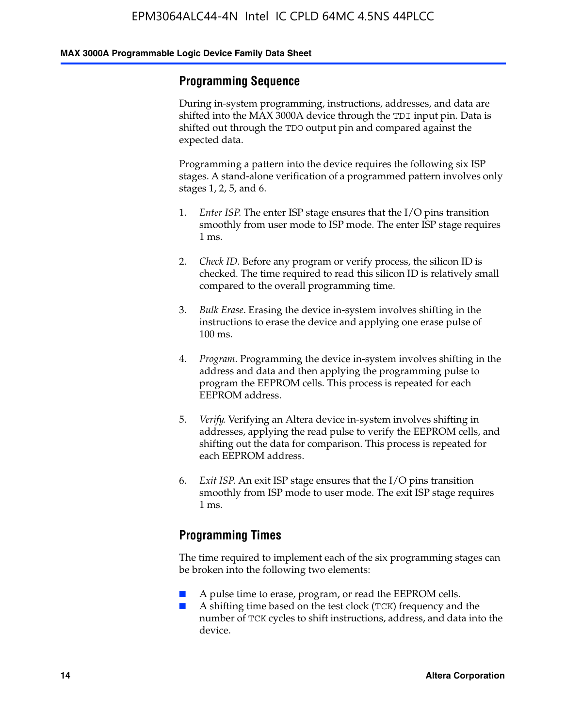### **Programming Sequence**

During in-system programming, instructions, addresses, and data are shifted into the MAX 3000A device through the TDI input pin. Data is shifted out through the TDO output pin and compared against the expected data.

Programming a pattern into the device requires the following six ISP stages. A stand-alone verification of a programmed pattern involves only stages 1, 2, 5, and 6.

- 1. *Enter ISP*. The enter ISP stage ensures that the I/O pins transition smoothly from user mode to ISP mode. The enter ISP stage requires 1 ms.
- 2. *Check ID*. Before any program or verify process, the silicon ID is checked. The time required to read this silicon ID is relatively small compared to the overall programming time.
- 3. *Bulk Erase*. Erasing the device in-system involves shifting in the instructions to erase the device and applying one erase pulse of 100 ms.
- 4. *Program*. Programming the device in-system involves shifting in the address and data and then applying the programming pulse to program the EEPROM cells. This process is repeated for each EEPROM address.
- 5. *Verify*. Verifying an Altera device in-system involves shifting in addresses, applying the read pulse to verify the EEPROM cells, and shifting out the data for comparison. This process is repeated for each EEPROM address.
- 6. *Exit ISP*. An exit ISP stage ensures that the I/O pins transition smoothly from ISP mode to user mode. The exit ISP stage requires 1 ms.

### **Programming Times**

The time required to implement each of the six programming stages can be broken into the following two elements:

- A pulse time to erase, program, or read the EEPROM cells.
- A shifting time based on the test clock (TCK) frequency and the number of TCK cycles to shift instructions, address, and data into the device.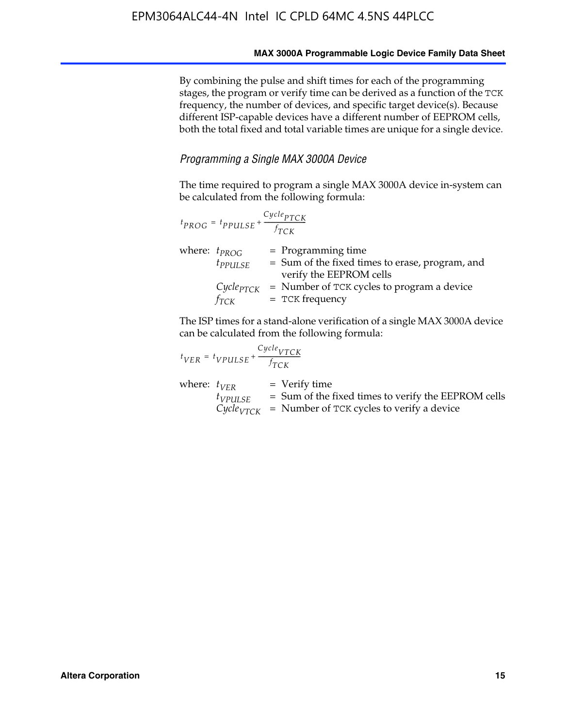By combining the pulse and shift times for each of the programming stages, the program or verify time can be derived as a function of the TCK frequency, the number of devices, and specific target device(s). Because different ISP-capable devices have a different number of EEPROM cells, both the total fixed and total variable times are unique for a single device.

#### *Programming a Single MAX 3000A Device*

The time required to program a single MAX 3000A device in-system can be calculated from the following formula:

| $t_{PROG} = t_{PPULSE} + \frac{Cycle_{PTCK}}{f_{TCK}}$ |                                                                                                    |
|--------------------------------------------------------|----------------------------------------------------------------------------------------------------|
| where: $t_{PROG}$<br>$t_{PPULSE}$                      | $=$ Programming time<br>= Sum of the fixed times to erase, program, and<br>verify the EEPROM cells |
| $Cycle_{PTCK}$<br>fтск                                 | = Number of TCK cycles to program a device<br>$=$ TCK frequency                                    |

The ISP times for a stand-alone verification of a single MAX 3000A device can be calculated from the following formula:

| $t_{VER} = t_{VPULSE} + \frac{t_{TCK}}{f_{TCK}}$ | $Cycle_{VTCK}$                                                                                                                    |
|--------------------------------------------------|-----------------------------------------------------------------------------------------------------------------------------------|
| where: $t_{VFR}$<br>$t_{VPULSE}$                 | $=$ Verify time<br>$=$ Sum of the fixed times to verify the EEPROM cells<br>$CycleVTCK$ = Number of TCK cycles to verify a device |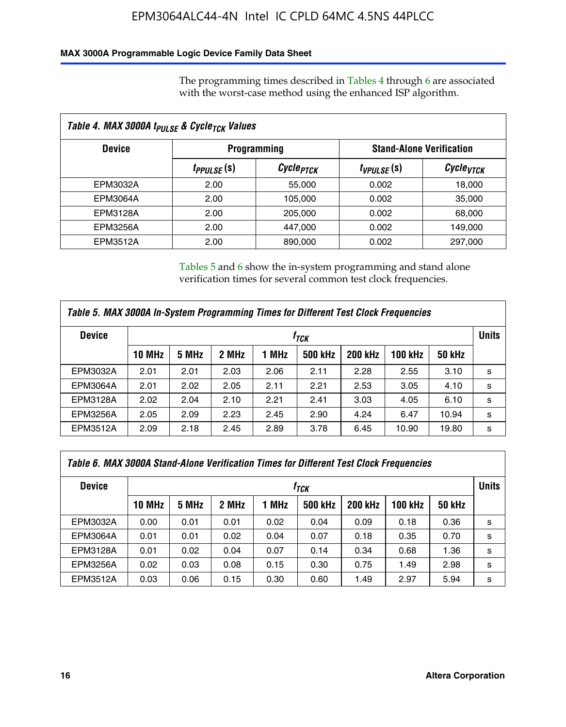### **MAX 3000A Programmable Logic Device Family Data Sheet**

The programming times described in Tables 4 through 6 are associated with the worst-case method using the enhanced ISP algorithm.

| Table 4. MAX 3000A t <sub>PULSE</sub> & Cycle <sub>TCK</sub> Values |                    |                                 |                 |                       |  |  |
|---------------------------------------------------------------------|--------------------|---------------------------------|-----------------|-----------------------|--|--|
| <b>Device</b>                                                       | <b>Programming</b> | <b>Stand-Alone Verification</b> |                 |                       |  |  |
|                                                                     | $t_{PPULSE}(s)$    | Cycle <sub>PTCK</sub>           | $t_{VPULSE}(s)$ | Cycle <sub>vTCK</sub> |  |  |
| EPM3032A                                                            | 2.00               | 55,000                          | 0.002           | 18,000                |  |  |
| EPM3064A                                                            | 2.00               | 105,000                         | 0.002           | 35,000                |  |  |
| EPM3128A                                                            | 2.00               | 205,000                         | 0.002           | 68,000                |  |  |
| <b>EPM3256A</b>                                                     | 2.00               | 447,000                         | 0.002           | 149,000               |  |  |
| EPM3512A                                                            | 2.00               | 890,000                         | 0.002           | 297,000               |  |  |

Tables 5 and 6 show the in-system programming and stand alone verification times for several common test clock frequencies.

| Table 5. MAX 3000A In-System Programming Times for Different Test Clock Frequencies |               |                  |       |       |                |                |                |               |   |
|-------------------------------------------------------------------------------------|---------------|------------------|-------|-------|----------------|----------------|----------------|---------------|---|
| <b>Device</b>                                                                       |               | † <sub>TCK</sub> |       |       |                |                |                | <b>Units</b>  |   |
|                                                                                     | <b>10 MHz</b> | 5 MHz            | 2 MHz | 1 MHz | <b>500 kHz</b> | <b>200 kHz</b> | <b>100 kHz</b> | <b>50 kHz</b> |   |
| EPM3032A                                                                            | 2.01          | 2.01             | 2.03  | 2.06  | 2.11           | 2.28           | 2.55           | 3.10          | s |
| <b>EPM3064A</b>                                                                     | 2.01          | 2.02             | 2.05  | 2.11  | 2.21           | 2.53           | 3.05           | 4.10          | s |
| <b>EPM3128A</b>                                                                     | 2.02          | 2.04             | 2.10  | 2.21  | 2.41           | 3.03           | 4.05           | 6.10          | s |
| <b>EPM3256A</b>                                                                     | 2.05          | 2.09             | 2.23  | 2.45  | 2.90           | 4.24           | 6.47           | 10.94         | s |
| EPM3512A                                                                            | 2.09          | 2.18             | 2.45  | 2.89  | 3.78           | 6.45           | 10.90          | 19.80         | s |

| Table 6. MAX 3000A Stand-Alone Verification Times for Different Test Clock Frequencies |               |       |       |       |                |                |                |               |   |
|----------------------------------------------------------------------------------------|---------------|-------|-------|-------|----------------|----------------|----------------|---------------|---|
| <b>Device</b>                                                                          | $f_{TCK}$     |       |       |       |                |                | <b>Units</b>   |               |   |
|                                                                                        | <b>10 MHz</b> | 5 MHz | 2 MHz | 1 MHz | <b>500 kHz</b> | <b>200 kHz</b> | <b>100 kHz</b> | <b>50 kHz</b> |   |
| EPM3032A                                                                               | 0.00          | 0.01  | 0.01  | 0.02  | 0.04           | 0.09           | 0.18           | 0.36          | s |
| <b>EPM3064A</b>                                                                        | 0.01          | 0.01  | 0.02  | 0.04  | 0.07           | 0.18           | 0.35           | 0.70          | s |
| EPM3128A                                                                               | 0.01          | 0.02  | 0.04  | 0.07  | 0.14           | 0.34           | 0.68           | 1.36          | s |
| <b>EPM3256A</b>                                                                        | 0.02          | 0.03  | 0.08  | 0.15  | 0.30           | 0.75           | 1.49           | 2.98          | s |
| EPM3512A                                                                               | 0.03          | 0.06  | 0.15  | 0.30  | 0.60           | 1.49           | 2.97           | 5.94          | s |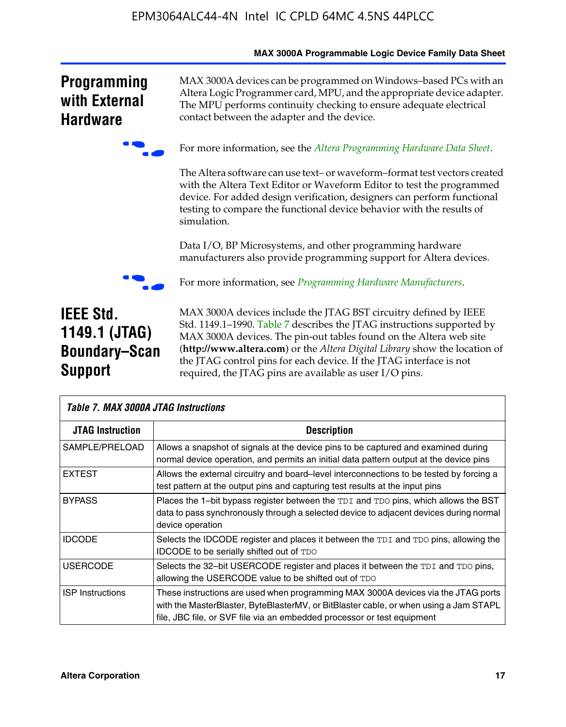|                                                                             | <b>MAX SUUJA Programmable Logic Device Family Data Sheet</b>                                                                                                                                                                                                                                                                                                                                                                     |
|-----------------------------------------------------------------------------|----------------------------------------------------------------------------------------------------------------------------------------------------------------------------------------------------------------------------------------------------------------------------------------------------------------------------------------------------------------------------------------------------------------------------------|
| <b>Programming</b><br>with External<br><b>Hardware</b>                      | MAX 3000A devices can be programmed on Windows-based PCs with an<br>Altera Logic Programmer card, MPU, and the appropriate device adapter.<br>The MPU performs continuity checking to ensure adequate electrical<br>contact between the adapter and the device.                                                                                                                                                                  |
|                                                                             | For more information, see the Altera Programming Hardware Data Sheet.                                                                                                                                                                                                                                                                                                                                                            |
|                                                                             | The Altera software can use text- or waveform-format test vectors created<br>with the Altera Text Editor or Waveform Editor to test the programmed<br>device. For added design verification, designers can perform functional<br>testing to compare the functional device behavior with the results of<br>simulation.                                                                                                            |
|                                                                             | Data I/O, BP Microsystems, and other programming hardware<br>manufacturers also provide programming support for Altera devices.                                                                                                                                                                                                                                                                                                  |
|                                                                             | For more information, see <i>Programming Hardware Manufacturers</i> .                                                                                                                                                                                                                                                                                                                                                            |
| <b>IEEE Std.</b><br>1149.1 (JTAG)<br><b>Boundary-Scan</b><br><b>Support</b> | MAX 3000A devices include the JTAG BST circuitry defined by IEEE<br>Std. 1149.1-1990. Table 7 describes the JTAG instructions supported by<br>MAX 3000A devices. The pin-out tables found on the Altera web site<br>(http://www.altera.com) or the Altera Digital Library show the location of<br>the JTAG control pins for each device. If the JTAG interface is not<br>required, the JTAG pins are available as user I/O pins. |

|                         | <b>Table 7. MAX 3000A JTAG Instructions</b>                                                                                                                                                                                                           |  |  |  |  |  |  |  |
|-------------------------|-------------------------------------------------------------------------------------------------------------------------------------------------------------------------------------------------------------------------------------------------------|--|--|--|--|--|--|--|
| <b>JTAG Instruction</b> | <b>Description</b>                                                                                                                                                                                                                                    |  |  |  |  |  |  |  |
| SAMPLE/PRELOAD          | Allows a snapshot of signals at the device pins to be captured and examined during<br>normal device operation, and permits an initial data pattern output at the device pins                                                                          |  |  |  |  |  |  |  |
| <b>EXTEST</b>           | Allows the external circuitry and board–level interconnections to be tested by forcing a<br>test pattern at the output pins and capturing test results at the input pins                                                                              |  |  |  |  |  |  |  |
| <b>BYPASS</b>           | Places the 1-bit bypass register between the TDI and TDO pins, which allows the BST<br>data to pass synchronously through a selected device to adjacent devices during normal<br>device operation                                                     |  |  |  |  |  |  |  |
| <b>IDCODE</b>           | Selects the IDCODE register and places it between the TDI and TDO pins, allowing the<br><b>IDCODE</b> to be serially shifted out of TDO                                                                                                               |  |  |  |  |  |  |  |
| <b>USERCODE</b>         | Selects the 32-bit USERCODE register and places it between the TDI and TDO pins,<br>allowing the USERCODE value to be shifted out of TDO                                                                                                              |  |  |  |  |  |  |  |
| <b>ISP Instructions</b> | These instructions are used when programming MAX 3000A devices via the JTAG ports<br>with the MasterBlaster, ByteBlasterMV, or BitBlaster cable, or when using a Jam STAPL<br>file, JBC file, or SVF file via an embedded processor or test equipment |  |  |  |  |  |  |  |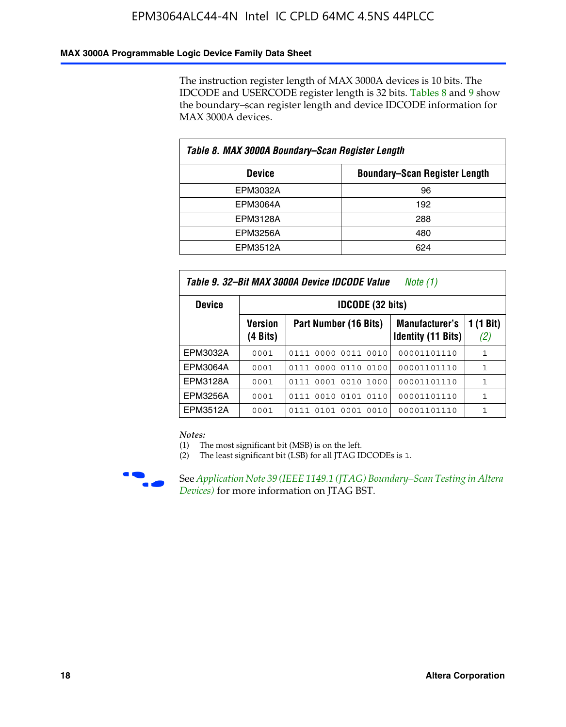### **MAX 3000A Programmable Logic Device Family Data Sheet**

The instruction register length of MAX 3000A devices is 10 bits. The IDCODE and USERCODE register length is 32 bits. Tables 8 and 9 show the boundary–scan register length and device IDCODE information for MAX 3000A devices.

| Table 8. MAX 3000A Boundary–Scan Register Length |                                      |  |  |  |  |  |
|--------------------------------------------------|--------------------------------------|--|--|--|--|--|
| <b>Device</b>                                    | <b>Boundary-Scan Register Length</b> |  |  |  |  |  |
| EPM3032A                                         | 96                                   |  |  |  |  |  |
| EPM3064A                                         | 192                                  |  |  |  |  |  |
| EPM3128A                                         | 288                                  |  |  |  |  |  |
| EPM3256A                                         | 480                                  |  |  |  |  |  |
| EPM3512A                                         | 624                                  |  |  |  |  |  |

| Table 9. 32–Bit MAX 3000A Device IDCODE Value<br>Note $(1)$ |                               |                                                                                                 |             |              |  |  |  |  |  |  |
|-------------------------------------------------------------|-------------------------------|-------------------------------------------------------------------------------------------------|-------------|--------------|--|--|--|--|--|--|
| <b>Device</b>                                               |                               | <b>IDCODE (32 bits)</b>                                                                         |             |              |  |  |  |  |  |  |
|                                                             | Version<br>$(4 \text{ bits})$ | 1 (1 Bit)<br>Part Number (16 Bits)<br><b>Manufacturer's</b><br><b>Identity (11 Bits)</b><br>(2) |             |              |  |  |  |  |  |  |
| EPM3032A                                                    | 0001                          | 0111 0000 0011 0010                                                                             | 00001101110 | $\mathbf{1}$ |  |  |  |  |  |  |
| <b>EPM3064A</b>                                             | 0001                          | 0111 0000 0110 0100                                                                             | 00001101110 | 1            |  |  |  |  |  |  |
| EPM3128A                                                    | 0001                          | 0001 0010 1000<br>0111                                                                          | 00001101110 | 1            |  |  |  |  |  |  |
| EPM3256A                                                    | 0001                          | 0010 0101 0110<br>0111                                                                          | 00001101110 | 1            |  |  |  |  |  |  |
| EPM3512A                                                    | 0001                          | 0101 0001 0010<br>0111                                                                          | 00001101110 | 1            |  |  |  |  |  |  |

#### *Notes:*

(1) The most significant bit (MSB) is on the left.

(2) The least significant bit (LSB) for all JTAG IDCODEs is 1.



**F See Application Note 39 (IEEE 1149.1 (JTAG) Boundary–Scan Testing in Altera** *Devices)* for more information on JTAG BST.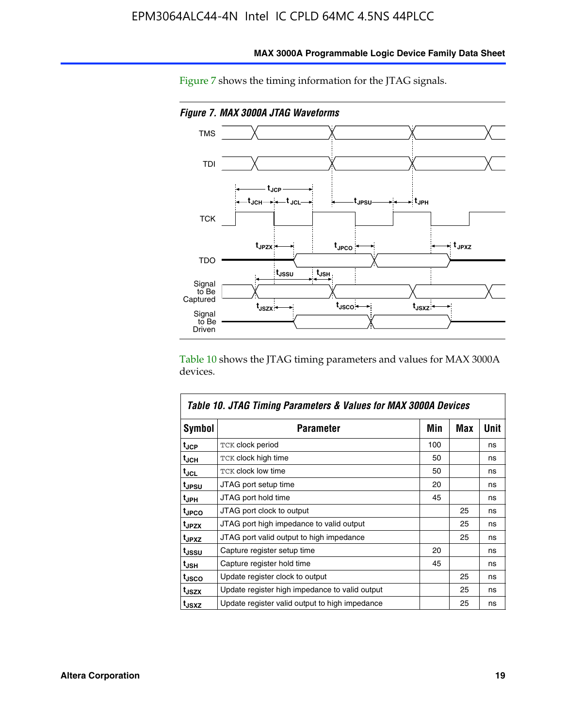

**MAX 3000A Programmable Logic Device Family Data Sheet**

Figure 7 shows the timing information for the JTAG signals.

Table 10 shows the JTAG timing parameters and values for MAX 3000A devices.

|                   | Table 10. JTAG Timing Parameters & Values for MAX 3000A Devices |     |     |      |
|-------------------|-----------------------------------------------------------------|-----|-----|------|
| <b>Symbol</b>     | <b>Parameter</b>                                                | Min | Max | Unit |
| t <sub>JCP</sub>  | <b>TCK clock period</b>                                         | 100 |     | ns   |
| t <sub>JCH</sub>  | TCK clock high time                                             | 50  |     | ns   |
| t <sub>JCL</sub>  | <b>TCK clock low time</b>                                       | 50  |     | ns   |
| t <sub>JPSU</sub> | JTAG port setup time                                            | 20  |     | ns   |
| t <sub>JPH</sub>  | JTAG port hold time                                             | 45  |     | ns   |
| <sup>t</sup> JPCO | JTAG port clock to output                                       |     | 25  | ns   |
| t <sub>JPZX</sub> | JTAG port high impedance to valid output                        |     | 25  | ns   |
| t <sub>JPXZ</sub> | JTAG port valid output to high impedance                        |     | 25  | ns   |
| tussu             | Capture register setup time                                     | 20  |     | ns   |
| t <sub>JSH</sub>  | Capture register hold time                                      | 45  |     | ns   |
| t <sub>JSCO</sub> | Update register clock to output                                 |     | 25  | ns   |
| t <sub>JSZX</sub> | Update register high impedance to valid output                  |     | 25  | ns   |
| t <sub>JSXZ</sub> | Update register valid output to high impedance                  |     | 25  | ns   |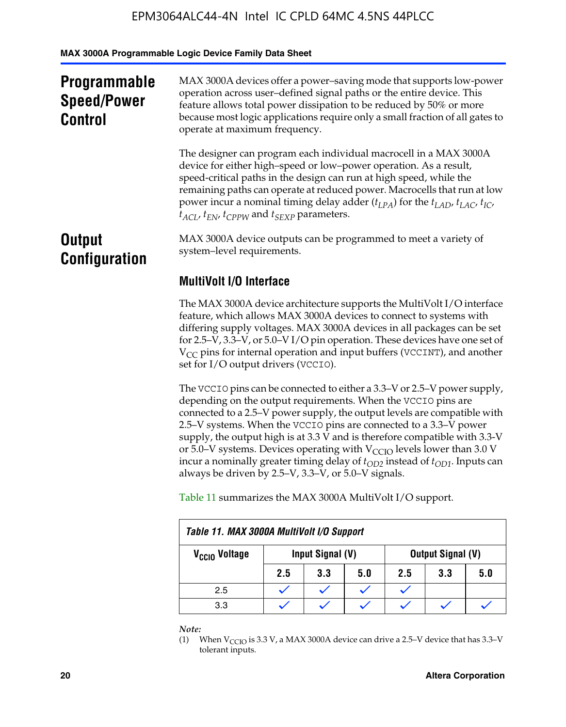**MAX 3000A Programmable Logic Device Family Data Sheet**

| <b>Programmable</b><br><b>Speed/Power</b><br><b>Control</b> | MAX 3000A devices offer a power-saving mode that supports low-power<br>operation across user-defined signal paths or the entire device. This<br>feature allows total power dissipation to be reduced by 50% or more<br>because most logic applications require only a small fraction of all gates to<br>operate at maximum frequency.                                                                                                                        |  |  |  |
|-------------------------------------------------------------|--------------------------------------------------------------------------------------------------------------------------------------------------------------------------------------------------------------------------------------------------------------------------------------------------------------------------------------------------------------------------------------------------------------------------------------------------------------|--|--|--|
|                                                             | The designer can program each individual macrocell in a MAX 3000A<br>device for either high-speed or low-power operation. As a result,<br>speed-critical paths in the design can run at high speed, while the<br>remaining paths can operate at reduced power. Macrocells that run at low<br>power incur a nominal timing delay adder $(t_{LPA})$ for the $t_{LAD}$ , $t_{LAC}$ , $t_{IC}$ ,<br>$t_{ACI}$ , $t_{EN}$ , $t_{CPPW}$ and $t_{SEXP}$ parameters. |  |  |  |
| <b>Output</b><br><b>Configuration</b>                       | MAX 3000A device outputs can be programmed to meet a variety of<br>system-level requirements.                                                                                                                                                                                                                                                                                                                                                                |  |  |  |
|                                                             | <b>MultiVolt I/O Interface</b>                                                                                                                                                                                                                                                                                                                                                                                                                               |  |  |  |
|                                                             | The MAX 3000A device architecture supports the MultiVolt I/O interface<br>feature, which allows MAX 3000A devices to connect to systems with                                                                                                                                                                                                                                                                                                                 |  |  |  |

feature, which allows MAX 3000A devices to connect to systems with differing supply voltages. MAX 3000A devices in all packages can be set for 2.5–V, 3.3–V, or 5.0–V I/O pin operation. These devices have one set of  $V_{CC}$  pins for internal operation and input buffers (VCCINT), and another set for I/O output drivers (VCCIO).

The VCCIO pins can be connected to either a 3.3–V or 2.5–V power supply, depending on the output requirements. When the VCCIO pins are connected to a 2.5–V power supply, the output levels are compatible with 2.5–V systems. When the VCCIO pins are connected to a 3.3–V power supply, the output high is at 3.3  $\bar{V}$  and is therefore compatible with 3.3-V or 5.0–V systems. Devices operating with  $V_{CCIO}$  levels lower than 3.0 V incur a nominally greater timing delay of  $t_{OD2}$  instead of  $t_{OD1}$ . Inputs can always be driven by 2.5–V, 3.3–V, or 5.0–V signals.

Table 11 summarizes the MAX 3000A MultiVolt I/O support.

| Table 11. MAX 3000A MultiVolt I/O Support |                                              |     |     |     |     |     |  |  |  |  |  |
|-------------------------------------------|----------------------------------------------|-----|-----|-----|-----|-----|--|--|--|--|--|
| V <sub>CCIO</sub> Voltage                 | Input Signal (V)<br><b>Output Signal (V)</b> |     |     |     |     |     |  |  |  |  |  |
|                                           | 2.5                                          | 3.3 | 5.0 | 2.5 | 3.3 | 5.0 |  |  |  |  |  |
| 2.5                                       |                                              |     |     |     |     |     |  |  |  |  |  |
| 3.3                                       |                                              |     |     |     |     |     |  |  |  |  |  |

*Note:*

<sup>(1)</sup> When  $V_{\text{CCIO}}$  is 3.3 V, a MAX 3000A device can drive a 2.5–V device that has 3.3–V tolerant inputs.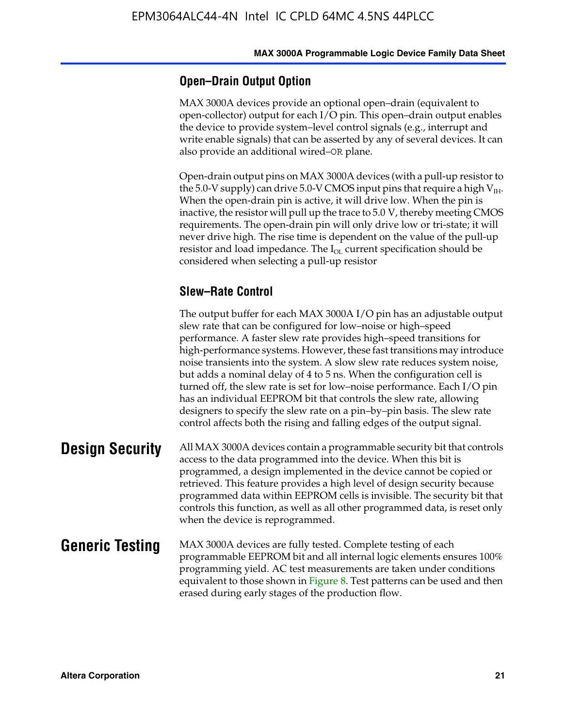### **Open–Drain Output Option**

MAX 3000A devices provide an optional open–drain (equivalent to open-collector) output for each I/O pin. This open–drain output enables the device to provide system–level control signals (e.g., interrupt and write enable signals) that can be asserted by any of several devices. It can also provide an additional wired–OR plane.

Open-drain output pins on MAX 3000A devices (with a pull-up resistor to the 5.0-V supply) can drive 5.0-V CMOS input pins that require a high  $V_{\text{H}_{\text{H}}}$ . When the open-drain pin is active, it will drive low. When the pin is inactive, the resistor will pull up the trace to 5.0 V, thereby meeting CMOS requirements. The open-drain pin will only drive low or tri-state; it will never drive high. The rise time is dependent on the value of the pull-up resistor and load impedance. The  $I_{OL}$  current specification should be considered when selecting a pull-up resistor

### **Slew–Rate Control**

The output buffer for each MAX 3000A I/O pin has an adjustable output slew rate that can be configured for low–noise or high–speed performance. A faster slew rate provides high–speed transitions for high-performance systems. However, these fast transitions may introduce noise transients into the system. A slow slew rate reduces system noise, but adds a nominal delay of 4 to 5 ns. When the configuration cell is turned off, the slew rate is set for low–noise performance. Each I/O pin has an individual EEPROM bit that controls the slew rate, allowing designers to specify the slew rate on a pin–by–pin basis. The slew rate control affects both the rising and falling edges of the output signal.

**Design Security** All MAX 3000A devices contain a programmable security bit that controls access to the data programmed into the device. When this bit is programmed, a design implemented in the device cannot be copied or retrieved. This feature provides a high level of design security because programmed data within EEPROM cells is invisible. The security bit that controls this function, as well as all other programmed data, is reset only when the device is reprogrammed.

#### **Generic Testing** MAX 3000A devices are fully tested. Complete testing of each programmable EEPROM bit and all internal logic elements ensures 100% programming yield. AC test measurements are taken under conditions equivalent to those shown in Figure 8. Test patterns can be used and then erased during early stages of the production flow.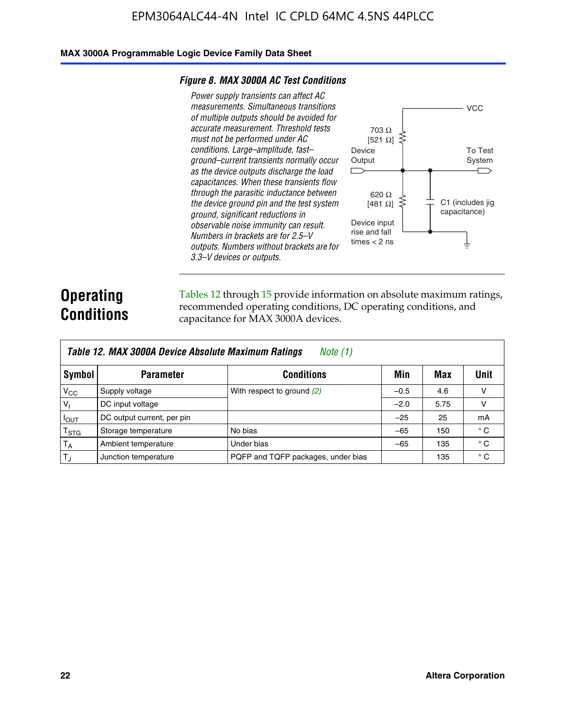#### **MAX 3000A Programmable Logic Device Family Data Sheet**

#### *Figure 8. MAX 3000A AC Test Conditions*

*Power supply transients can affect AC measurements. Simultaneous transitions of multiple outputs should be avoided for accurate measurement. Threshold tests must not be performed under AC conditions. Large–amplitude, fast– ground–current transients normally occur as the device outputs discharge the load capacitances. When these transients flow through the parasitic inductance between the device ground pin and the test system ground, significant reductions in observable noise immunity can result. Numbers in brackets are for 2.5–V outputs. Numbers without brackets are for 3.3–V devices or outputs.*



# **Operating Conditions**

Tables 12 through 15 provide information on absolute maximum ratings, recommended operating conditions, DC operating conditions, and capacitance for MAX 3000A devices.

|                 | Table 12. MAX 3000A Device Absolute Maximum Ratings<br>Note (1) |                                    |        |      |              |  |  |
|-----------------|-----------------------------------------------------------------|------------------------------------|--------|------|--------------|--|--|
| Symbol          | <b>Parameter</b>                                                | <b>Conditions</b>                  | Min    | Max  | Unit         |  |  |
| $V_{CC}$        | Supply voltage                                                  | With respect to ground (2)         | $-0.5$ | 4.6  | v            |  |  |
| V <sub>1</sub>  | DC input voltage                                                |                                    | $-2.0$ | 5.75 | v            |  |  |
| $I_{OUT}$       | DC output current, per pin                                      |                                    | $-25$  | 25   | mA           |  |  |
| $T_{\rm STG}$   | Storage temperature                                             | No bias                            | $-65$  | 150  | $^{\circ}$ C |  |  |
| $T_A$           | Ambient temperature                                             | Under bias                         | $-65$  | 135  | $^{\circ}$ C |  |  |
| IT <sub>J</sub> | Junction temperature                                            | PQFP and TQFP packages, under bias |        | 135  | $^{\circ}$ C |  |  |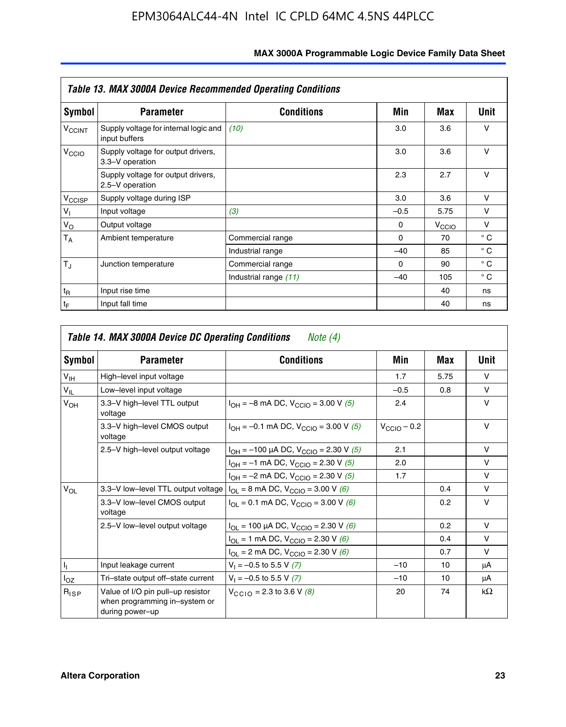|                             | <b>Table 13. MAX 3000A Device Recommended Operating Conditions</b> |                       |          |                   |              |
|-----------------------------|--------------------------------------------------------------------|-----------------------|----------|-------------------|--------------|
| Symbol                      | <b>Parameter</b>                                                   | <b>Conditions</b>     | Min      | Max               | Unit         |
| <b>V<sub>CCINT</sub></b>    | Supply voltage for internal logic and<br>input buffers             | (10)                  | 3.0      | 3.6               | $\vee$       |
| V <sub>CCIO</sub>           | Supply voltage for output drivers,<br>3.3-V operation              |                       | 3.0      | 3.6               | $\vee$       |
|                             | Supply voltage for output drivers,<br>2.5-V operation              |                       | 2.3      | 2.7               | v            |
| V <sub>CCISP</sub>          | Supply voltage during ISP                                          |                       | 3.0      | 3.6               | $\vee$       |
| $V_{\parallel}$             | Input voltage                                                      | (3)                   | $-0.5$   | 5.75              | v            |
| $V_{\rm O}$                 | Output voltage                                                     |                       | 0        | V <sub>CCIO</sub> | v            |
| $T_A$                       | Ambient temperature                                                | Commercial range      | $\Omega$ | 70                | $^{\circ}$ C |
|                             |                                                                    | Industrial range      | $-40$    | 85                | $^{\circ}$ C |
| $T_{\rm J}$                 | Junction temperature                                               | Commercial range      | $\Omega$ | 90                | $^{\circ}$ C |
|                             |                                                                    | Industrial range (11) | $-40$    | 105               | $^{\circ}$ C |
| $t_{\mathsf{R}}$            | Input rise time                                                    |                       |          | 40                | ns           |
| $\mathfrak{t}_{\mathsf{F}}$ | Input fall time                                                    |                       |          | 40                | ns           |

| Symbol          | <b>Parameter</b>                                                                      | <b>Conditions</b>                                                | Min              | Max  | Unit      |
|-----------------|---------------------------------------------------------------------------------------|------------------------------------------------------------------|------------------|------|-----------|
| $V_{\text{IH}}$ | High-level input voltage                                                              |                                                                  | 1.7              | 5.75 | $\vee$    |
| $V_{IL}$        | Low-level input voltage                                                               |                                                                  | $-0.5$           | 0.8  | $\vee$    |
| $V_{OH}$        | 3.3-V high-level TTL output<br>voltage                                                | $I_{OH} = -8$ mA DC, $V_{CGIO} = 3.00$ V (5)                     | 2.4              |      | $\vee$    |
|                 | 3.3-V high-level CMOS output<br>voltage                                               | $I_{OH} = -0.1$ mA DC, $V_{CGIO} = 3.00$ V (5)                   | $V_{CClO}$ – 0.2 |      | $\vee$    |
|                 | 2.5-V high-level output voltage                                                       | $I_{OH}$ = -100 µA DC, V <sub>CCIO</sub> = 2.30 V (5)            | 2.1              |      | $\vee$    |
|                 |                                                                                       | $I_{OH} = -1$ mA DC, $V_{CCIO} = 2.30$ V (5)                     | 2.0              |      | $\vee$    |
|                 |                                                                                       | $I_{OH} = -2$ mA DC, $V_{CGIO} = 2.30$ V (5)                     | 1.7              |      | $\vee$    |
| $V_{OL}$        | 3.3-V low-level TTL output voltage                                                    | $I_{OL}$ = 8 mA DC, $V_{CCIO}$ = 3.00 V (6)                      |                  | 0.4  | $\vee$    |
|                 | 3.3-V low-level CMOS output<br>voltage                                                | $I_{OL} = 0.1$ mA DC, $V_{CCIO} = 3.00$ V (6)                    |                  | 0.2  | $\vee$    |
|                 | 2.5-V low-level output voltage                                                        | $I_{\text{OI}}$ = 100 µA DC, $V_{\text{CCl}\Omega}$ = 2.30 V (6) |                  | 0.2  | $\vee$    |
|                 |                                                                                       | $I_{OL}$ = 1 mA DC, $V_{CCIO}$ = 2.30 V (6)                      |                  | 0.4  | $\vee$    |
|                 |                                                                                       | $I_{OL}$ = 2 mA DC, V <sub>CCIO</sub> = 2.30 V (6)               |                  | 0.7  | V         |
| 4               | Input leakage current                                                                 | $V_1 = -0.5$ to 5.5 V (7)                                        | $-10$            | 10   | μA        |
| $I_{OZ}$        | Tri-state output off-state current                                                    | $V_1 = -0.5$ to 5.5 V (7)                                        | $-10$            | 10   | μA        |
| $R_{lSP}$       | Value of I/O pin pull-up resistor<br>when programming in-system or<br>during power-up | $V_{CCD}$ = 2.3 to 3.6 V (8)                                     | 20               | 74   | $k\Omega$ |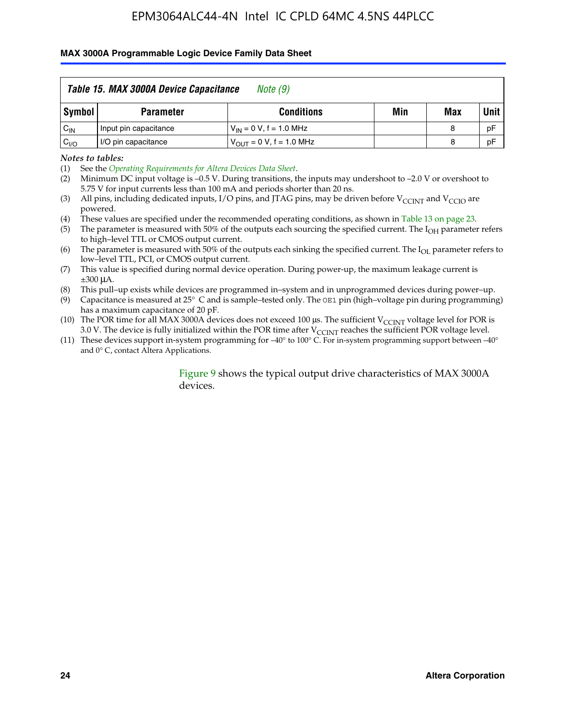#### **MAX 3000A Programmable Logic Device Family Data Sheet**

|          | Table 15. MAX 3000A Device Capacitance<br>Note (9) |                               |     |     |             |  |  |
|----------|----------------------------------------------------|-------------------------------|-----|-----|-------------|--|--|
| Symbol   | <b>Parameter</b>                                   | <b>Conditions</b>             | Min | Max | <b>Unit</b> |  |  |
| $C_{IN}$ | Input pin capacitance                              | $V_{IN} = 0 V$ , f = 1.0 MHz  |     | 8   | pF          |  |  |
| $C_{VO}$ | I/O pin capacitance                                | $V_{OUT} = 0 V$ , f = 1.0 MHz |     | 8   | pF          |  |  |

*Notes to tables:*

(2) Minimum DC input voltage is –0.5 V. During transitions, the inputs may undershoot to –2.0 V or overshoot to 5.75 V for input currents less than 100 mA and periods shorter than 20 ns.

(4) These values are specified under the recommended operating conditions, as shown in Table 13 on page 23.

(5) The parameter is measured with 50% of the outputs each sourcing the specified current. The  $I<sub>OH</sub>$  parameter refers to high–level TTL or CMOS output current.

(6) The parameter is measured with 50% of the outputs each sinking the specified current. The  $I_{OL}$  parameter refers to low–level TTL, PCI, or CMOS output current.

(7) This value is specified during normal device operation. During power-up, the maximum leakage current is ±300 μA.

(8) This pull–up exists while devices are programmed in–system and in unprogrammed devices during power–up.

- (9) Capacitance is measured at 25° C and is sample–tested only. The OE1 pin (high–voltage pin during programming) has a maximum capacitance of 20 pF.
- (10) The POR time for all MAX 3000A devices does not exceed 100  $\mu$ s. The sufficient V<sub>CCINT</sub> voltage level for POR is 3.0 V. The device is fully initialized within the POR time after  $V_{\text{CCINT}}$  reaches the sufficient POR voltage level.
- (11) These devices support in-system programming for –40° to 100° C. For in-system programming support between –40° and 0° C, contact Altera Applications.

#### Figure 9 shows the typical output drive characteristics of MAX 3000A devices.

<sup>(1)</sup> See the *Operating Requirements for Altera Devices Data Sheet*.

<sup>(3)</sup> All pins, including dedicated inputs, I/O pins, and JTAG pins, may be driven before  $V_{\text{CCINT}}$  and  $V_{\text{CCIO}}$  are powered.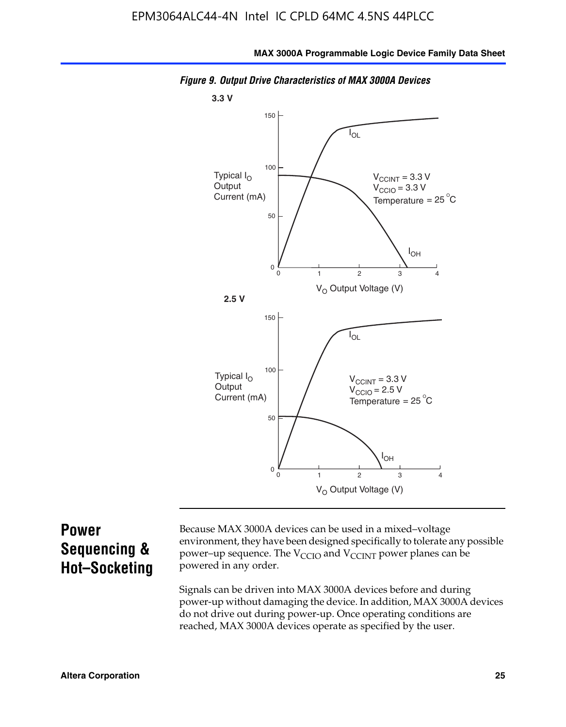

*Figure 9. Output Drive Characteristics of MAX 3000A Devices*

# **Power Sequencing & Hot–Socketing**

Because MAX 3000A devices can be used in a mixed–voltage environment, they have been designed specifically to tolerate any possible power–up sequence. The  $V_{CCIO}$  and  $V_{CCINT}$  power planes can be powered in any order.

Signals can be driven into MAX 3000A devices before and during power-up without damaging the device. In addition, MAX 3000A devices do not drive out during power-up. Once operating conditions are reached, MAX 3000A devices operate as specified by the user.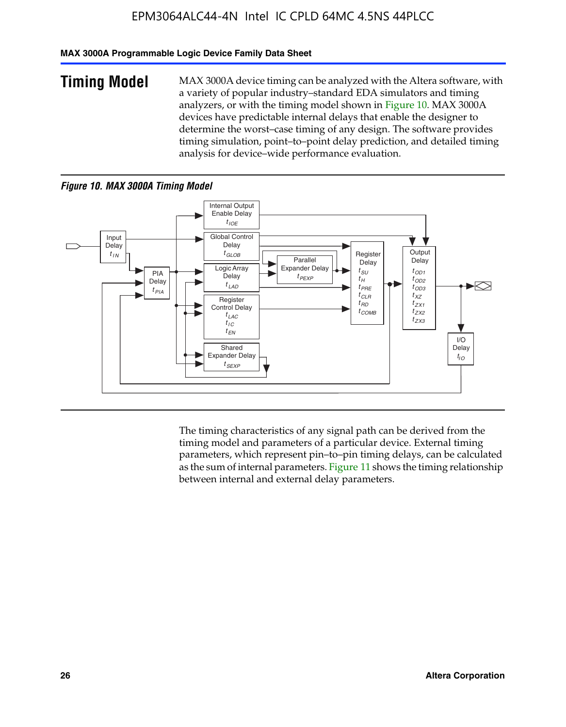#### **MAX 3000A Programmable Logic Device Family Data Sheet**

**Timing Model** MAX 3000A device timing can be analyzed with the Altera software, with a variety of popular industry–standard EDA simulators and timing analyzers, or with the timing model shown in Figure 10. MAX 3000A devices have predictable internal delays that enable the designer to determine the worst–case timing of any design. The software provides timing simulation, point–to–point delay prediction, and detailed timing analysis for device–wide performance evaluation.

#### *Figure 10. MAX 3000A Timing Model*



The timing characteristics of any signal path can be derived from the timing model and parameters of a particular device. External timing parameters, which represent pin–to–pin timing delays, can be calculated as the sum of internal parameters. Figure 11 shows the timing relationship between internal and external delay parameters.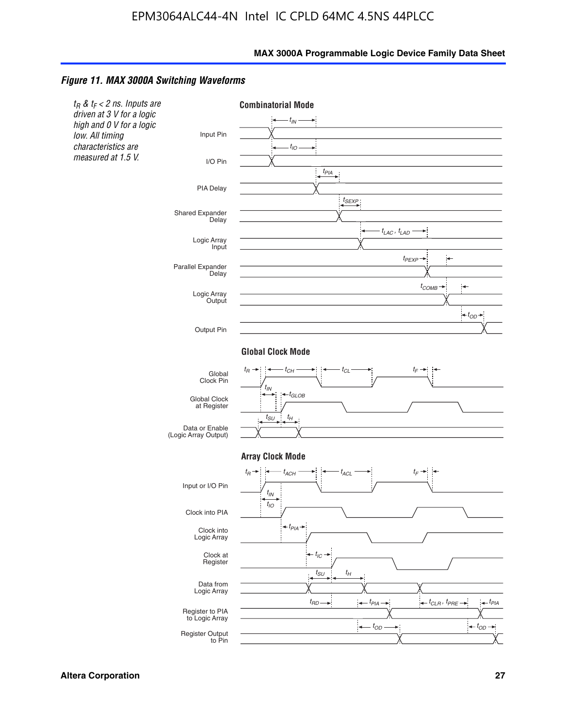#### *Figure 11. MAX 3000A Switching Waveforms*

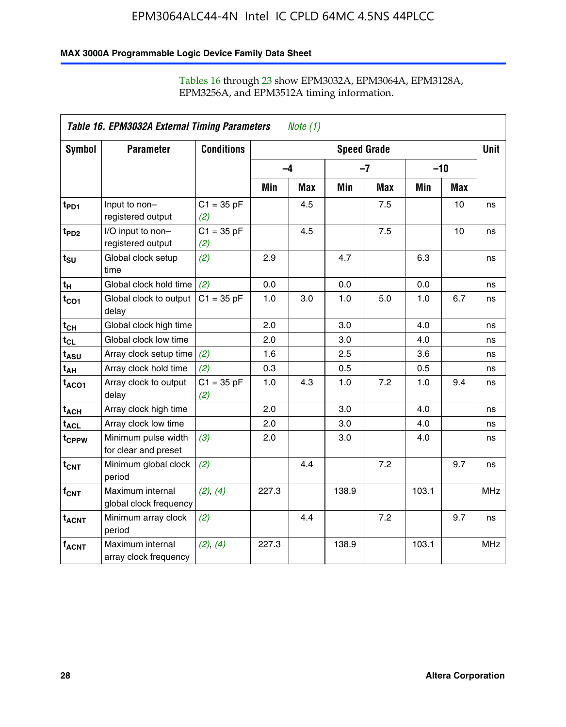### **MAX 3000A Programmable Logic Device Family Data Sheet**

|                             | Table 16. EPM3032A External Timing Parameters<br><i>Note</i> $(1)$ |                     |                    |     |       |            |       |            |            |
|-----------------------------|--------------------------------------------------------------------|---------------------|--------------------|-----|-------|------------|-------|------------|------------|
| Symbol                      | <b>Parameter</b>                                                   | <b>Conditions</b>   | <b>Speed Grade</b> |     |       |            |       |            |            |
|                             |                                                                    |                     | $-4$               |     |       | $-7$       | $-10$ |            |            |
|                             |                                                                    |                     | Min                | Max | Min   | <b>Max</b> | Min   | <b>Max</b> |            |
| t <sub>PD1</sub>            | Input to non-<br>registered output                                 | $C1 = 35 pF$<br>(2) |                    | 4.5 |       | 7.5        |       | 10         | ns         |
| t <sub>PD2</sub>            | I/O input to non-<br>registered output                             | $C1 = 35 pF$<br>(2) |                    | 4.5 |       | 7.5        |       | 10         | ns         |
| $t_{\text{SU}}$             | Global clock setup<br>time                                         | (2)                 | 2.9                |     | 4.7   |            | 6.3   |            | ns         |
| $t_H$                       | Global clock hold time                                             | (2)                 | 0.0                |     | 0.0   |            | 0.0   |            | ns         |
| $t_{CO1}$                   | Global clock to output<br>delay                                    | $C1 = 35 pF$        | 1.0                | 3.0 | 1.0   | 5.0        | 1.0   | 6.7        | ns         |
| $t_{CH}$                    | Global clock high time                                             |                     | 2.0                |     | 3.0   |            | 4.0   |            | ns         |
| $t_{CL}$                    | Global clock low time                                              |                     | 2.0                |     | 3.0   |            | 4.0   |            | ns         |
| t <sub>ASU</sub>            | Array clock setup time                                             | (2)                 | 1.6                |     | 2.5   |            | 3.6   |            | ns         |
| t <sub>АН</sub>             | Array clock hold time                                              | (2)                 | 0.3                |     | 0.5   |            | 0.5   |            | ns         |
| $t_{ACO1}$                  | Array clock to output<br>delay                                     | $C1 = 35 pF$<br>(2) | 1.0                | 4.3 | 1.0   | 7.2        | 1.0   | 9.4        | ns         |
| t <sub>ACH</sub>            | Array clock high time                                              |                     | 2.0                |     | 3.0   |            | 4.0   |            | ns         |
| $\textsf{t}_{\mathsf{ACL}}$ | Array clock low time                                               |                     | 2.0                |     | 3.0   |            | 4.0   |            | ns         |
| t <sub>CPPW</sub>           | Minimum pulse width<br>for clear and preset                        | (3)                 | 2.0                |     | 3.0   |            | 4.0   |            | ns         |
| $t_{CNT}$                   | Minimum global clock<br>period                                     | (2)                 |                    | 4.4 |       | 7.2        |       | 9.7        | ns         |
| $f_{CNT}$                   | Maximum internal<br>global clock frequency                         | (2), (4)            | 227.3              |     | 138.9 |            | 103.1 |            | <b>MHz</b> |
| $t_{ACNT}$                  | Minimum array clock<br>period                                      | (2)                 |                    | 4.4 |       | 7.2        |       | 9.7        | ns         |
| $f_{ACNT}$                  | Maximum internal<br>array clock frequency                          | (2), (4)            | 227.3              |     | 138.9 |            | 103.1 |            | <b>MHz</b> |

### Tables 16 through 23 show EPM3032A, EPM3064A, EPM3128A, EPM3256A, and EPM3512A timing information.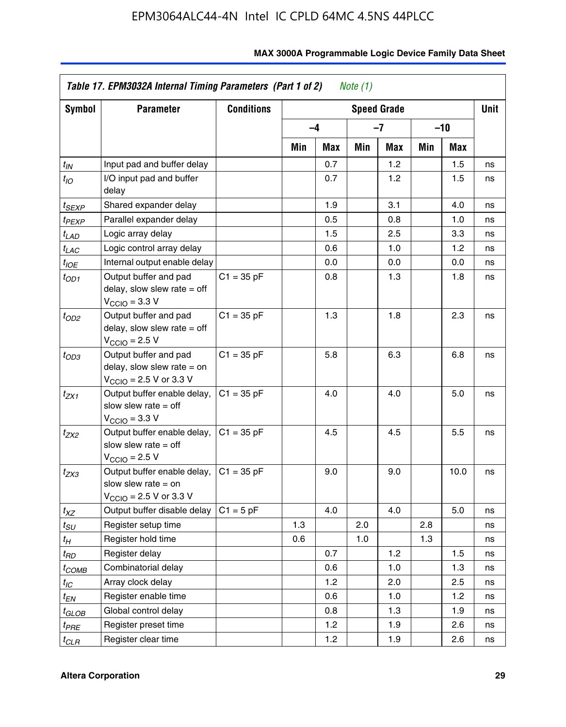| <b>Symbol</b>         | <b>Parameter</b>                                                                                             | <b>Conditions</b> | <b>Speed Grade</b> |      |     |     |     |       | <b>Unit</b> |
|-----------------------|--------------------------------------------------------------------------------------------------------------|-------------------|--------------------|------|-----|-----|-----|-------|-------------|
|                       |                                                                                                              |                   |                    | $-4$ |     | -7  |     | $-10$ |             |
|                       |                                                                                                              |                   | Min                | Max  | Min | Max | Min | Max   |             |
| $t_{IN}$              | Input pad and buffer delay                                                                                   |                   |                    | 0.7  |     | 1.2 |     | 1.5   | ns          |
| $t_{IO}$              | I/O input pad and buffer<br>delay                                                                            |                   |                    | 0.7  |     | 1.2 |     | 1.5   | ns          |
| t <sub>SEXP</sub>     | Shared expander delay                                                                                        |                   |                    | 1.9  |     | 3.1 |     | 4.0   | ns          |
| t <sub>PEXP</sub>     | Parallel expander delay                                                                                      |                   |                    | 0.5  |     | 0.8 |     | 1.0   | ns          |
| $t_{LAD}$             | Logic array delay                                                                                            |                   |                    | 1.5  |     | 2.5 |     | 3.3   | ns          |
| $t_{LAC}$             | Logic control array delay                                                                                    |                   |                    | 0.6  |     | 1.0 |     | 1.2   | ns          |
| $t_{IOE}$             | Internal output enable delay                                                                                 |                   |                    | 0.0  |     | 0.0 |     | 0.0   | ns          |
| t <sub>OD1</sub>      | Output buffer and pad<br>delay, slow slew rate $=$ off<br>$VCCIO = 3.3 V$                                    | $C1 = 35 pF$      |                    | 0.8  |     | 1.3 |     | 1.8   | ns          |
| $t_{OD2}$             | Output buffer and pad<br>delay, slow slew rate $=$ off<br>$V_{\text{CCIO}} = 2.5 V$                          | $C1 = 35 pF$      |                    | 1.3  |     | 1.8 |     | 2.3   | ns          |
| $t_{OD3}$             | Output buffer and pad<br>delay, slow slew rate $=$ on<br>$V_{\text{CCIO}} = 2.5 \text{ V or } 3.3 \text{ V}$ | $C1 = 35 pF$      |                    | 5.8  |     | 6.3 |     | 6.8   | ns          |
| t <sub>ZX1</sub>      | Output buffer enable delay,<br>slow slew rate $=$ off<br>$VCCIO = 3.3 V$                                     | $C1 = 35 pF$      |                    | 4.0  |     | 4.0 |     | 5.0   | ns          |
| t <sub>ZX2</sub>      | Output buffer enable delay,<br>slow slew rate $=$ off<br>$V_{\text{CCIO}}$ = 2.5 V                           | $C1 = 35 pF$      |                    | 4.5  |     | 4.5 |     | 5.5   | ns          |
| $t_{ZX3}$             | Output buffer enable delay,<br>slow slew rate $=$ on<br>$V_{\text{CCIO}} = 2.5 \text{ V or } 3.3 \text{ V}$  | $C1 = 35 pF$      |                    | 9.0  |     | 9.0 |     | 10.0  | ns          |
| $t_{XZ}$              | Output buffer disable delay                                                                                  | $C1 = 5$ pF       |                    | 4.0  |     | 4.0 |     | 5.0   | ns          |
| $t_{\scriptstyle SU}$ | Register setup time                                                                                          |                   | 1.3                |      | 2.0 |     | 2.8 |       | ns          |
| $t_{\mathcal{H}}$     | Register hold time                                                                                           |                   | 0.6                |      | 1.0 |     | 1.3 |       | ns          |
| t <sub>RD</sub>       | Register delay                                                                                               |                   |                    | 0.7  |     | 1.2 |     | 1.5   | ns          |
| $t_{COMB}$            | Combinatorial delay                                                                                          |                   |                    | 0.6  |     | 1.0 |     | 1.3   | ns          |
| $t_{IC}$              | Array clock delay                                                                                            |                   |                    | 1.2  |     | 2.0 |     | 2.5   | ns          |
| $t_{EN}$              | Register enable time                                                                                         |                   |                    | 0.6  |     | 1.0 |     | 1.2   | ns          |
| t <sub>GLOB</sub>     | Global control delay                                                                                         |                   |                    | 0.8  |     | 1.3 |     | 1.9   | ns          |
| t <sub>PRE</sub>      | Register preset time                                                                                         |                   |                    | 1.2  |     | 1.9 |     | 2.6   | ns          |
| $t_{CLR}$             | Register clear time                                                                                          |                   |                    | 1.2  |     | 1.9 |     | 2.6   | ns          |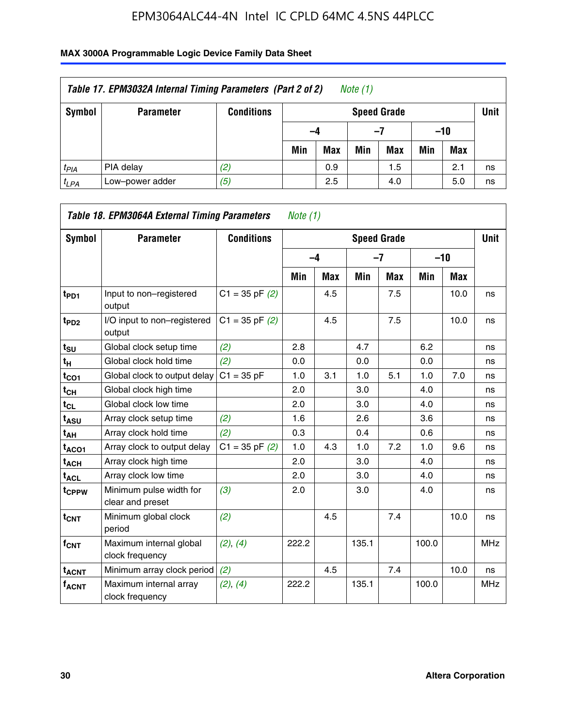| Table 17. EPM3032A Internal Timing Parameters (Part 2 of 2)<br>Note (1) |                  |                   |     |                    |     |     |       |     |    |  |
|-------------------------------------------------------------------------|------------------|-------------------|-----|--------------------|-----|-----|-------|-----|----|--|
| Symbol                                                                  | <b>Parameter</b> | <b>Conditions</b> |     | <b>Speed Grade</b> |     |     |       |     |    |  |
|                                                                         |                  |                   | -4  |                    | -7  |     | $-10$ |     |    |  |
|                                                                         |                  |                   | Min | <b>Max</b>         | Min | Max | Min   | Max |    |  |
| $t_{PIA}$                                                               | PIA delay        | (2)               |     | 0.9                |     | 1.5 |       | 2.1 | ns |  |
| $t_{LPA}$                                                               | Low-power adder  | (5)               |     | 2.5                |     | 4.0 |       | 5.0 | ns |  |

| Table 18. EPM3064A External Timing Parameters<br>Note $(1)$ |                                             |                    |       |            |       |                    |       |       |             |  |
|-------------------------------------------------------------|---------------------------------------------|--------------------|-------|------------|-------|--------------------|-------|-------|-------------|--|
| Symbol                                                      | <b>Parameter</b>                            | <b>Conditions</b>  |       |            |       | <b>Speed Grade</b> |       |       | <b>Unit</b> |  |
|                                                             |                                             |                    |       | $-4$       |       | $-7$               |       | $-10$ |             |  |
|                                                             |                                             |                    | Min   | <b>Max</b> | Min   | <b>Max</b>         | Min   | Max   |             |  |
| t <sub>PD1</sub>                                            | Input to non-registered<br>output           | $C1 = 35$ pF $(2)$ |       | 4.5        |       | 7.5                |       | 10.0  | ns          |  |
| t <sub>PD2</sub>                                            | I/O input to non-registered<br>output       | $C1 = 35$ pF $(2)$ |       | 4.5        |       | 7.5                |       | 10.0  | ns          |  |
| $t_{\text{SU}}$                                             | Global clock setup time                     | (2)                | 2.8   |            | 4.7   |                    | 6.2   |       | ns          |  |
| t <sub>H</sub>                                              | Global clock hold time                      | (2)                | 0.0   |            | 0.0   |                    | 0.0   |       | ns          |  |
| $t_{CO1}$                                                   | Global clock to output delay                | $C1 = 35 pF$       | 1.0   | 3.1        | 1.0   | 5.1                | 1.0   | 7.0   | ns          |  |
| $t_{CH}$                                                    | Global clock high time                      |                    | 2.0   |            | 3.0   |                    | 4.0   |       | ns          |  |
| $t_{CL}$                                                    | Global clock low time                       |                    | 2.0   |            | 3.0   |                    | 4.0   |       | ns          |  |
| t <sub>ASU</sub>                                            | Array clock setup time                      | (2)                | 1.6   |            | 2.6   |                    | 3.6   |       | ns          |  |
| $t_{AH}$                                                    | Array clock hold time                       | (2)                | 0.3   |            | 0.4   |                    | 0.6   |       | ns          |  |
| $t_{ACO1}$                                                  | Array clock to output delay                 | $C1 = 35$ pF $(2)$ | 1.0   | 4.3        | 1.0   | 7.2                | 1.0   | 9.6   | ns          |  |
| $t_{ACH}$                                                   | Array clock high time                       |                    | 2.0   |            | 3.0   |                    | 4.0   |       | ns          |  |
| $t_{\sf ACL}$                                               | Array clock low time                        |                    | 2.0   |            | 3.0   |                    | 4.0   |       | ns          |  |
| t <sub>CPPW</sub>                                           | Minimum pulse width for<br>clear and preset | (3)                | 2.0   |            | 3.0   |                    | 4.0   |       | ns          |  |
| $t_{\text{CNT}}$                                            | Minimum global clock<br>period              | (2)                |       | 4.5        |       | 7.4                |       | 10.0  | ns          |  |
| f <sub>CNT</sub>                                            | Maximum internal global<br>clock frequency  | (2), (4)           | 222.2 |            | 135.1 |                    | 100.0 |       | <b>MHz</b>  |  |
| <b>t<sub>ACNT</sub></b>                                     | Minimum array clock period                  | (2)                |       | 4.5        |       | 7.4                |       | 10.0  | ns          |  |
| <b>fACNT</b>                                                | Maximum internal array<br>clock frequency   | (2), (4)           | 222.2 |            | 135.1 |                    | 100.0 |       | <b>MHz</b>  |  |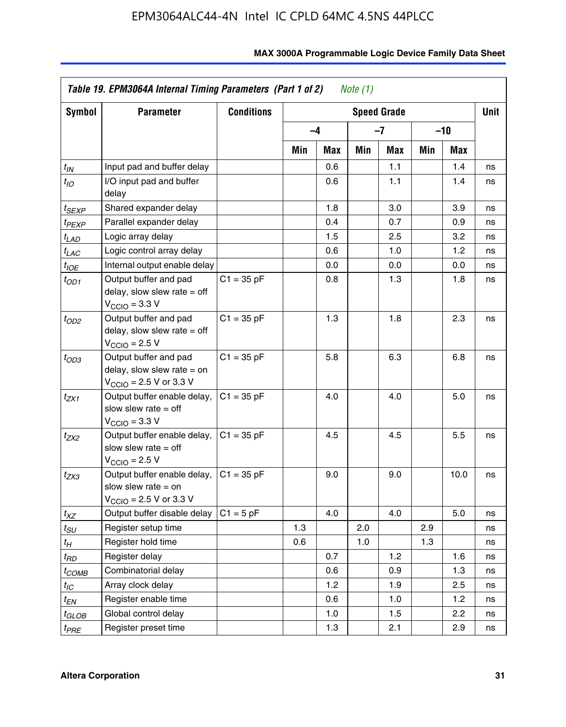| Symbol                 | <b>Parameter</b>                                                                                             | <b>Conditions</b> |     |            |     | <b>Speed Grade</b> |     |            | <b>Unit</b> |
|------------------------|--------------------------------------------------------------------------------------------------------------|-------------------|-----|------------|-----|--------------------|-----|------------|-------------|
|                        |                                                                                                              |                   |     | $-4$       |     | $-7$               |     | -10        |             |
|                        |                                                                                                              |                   | Min | <b>Max</b> | Min | Max                | Min | <b>Max</b> |             |
| $t_{\mathsf{IN}}$      | Input pad and buffer delay                                                                                   |                   |     | 0.6        |     | 1.1                |     | 1.4        | ns          |
| $t_{IO}$               | I/O input pad and buffer<br>delay                                                                            |                   |     | 0.6        |     | 1.1                |     | 1.4        | ns          |
| t <sub>SEXP</sub>      | Shared expander delay                                                                                        |                   |     | 1.8        |     | 3.0                |     | 3.9        | ns          |
| t <sub>PEXP</sub>      | Parallel expander delay                                                                                      |                   |     | 0.4        |     | 0.7                |     | 0.9        | ns          |
| $t_{LAD}$              | Logic array delay                                                                                            |                   |     | 1.5        |     | 2.5                |     | 3.2        | ns          |
| $t_{LAC}$              | Logic control array delay                                                                                    |                   |     | 0.6        |     | 1.0                |     | 1.2        | ns          |
| $t_{IOE}$              | Internal output enable delay                                                                                 |                   |     | 0.0        |     | 0.0                |     | 0.0        | ns          |
| $t_{OD1}$              | Output buffer and pad<br>delay, slow slew rate $=$ off<br>$V_{\text{CCIO}} = 3.3 \text{ V}$                  | $C1 = 35 pF$      |     | 0.8        |     | 1.3                |     | 1.8        | ns          |
| $t_{OD2}$              | Output buffer and pad<br>delay, slow slew rate $=$ off<br>$V_{\rm CClO}$ = 2.5 V                             | $C1 = 35 pF$      |     | 1.3        |     | 1.8                |     | 2.3        | ns          |
| $t_{OD3}$              | Output buffer and pad<br>delay, slow slew rate $=$ on<br>$V_{\text{CGIO}} = 2.5 \text{ V or } 3.3 \text{ V}$ | $C1 = 35 pF$      |     | 5.8        |     | 6.3                |     | 6.8        | ns          |
| $t_{ZX1}$              | Output buffer enable delay,<br>slow slew rate $=$ off<br>$V_{\text{CCIO}} = 3.3 V$                           | $C1 = 35 pF$      |     | 4.0        |     | 4.0                |     | 5.0        | ns          |
| t <sub>ZX2</sub>       | Output buffer enable delay,<br>slow slew rate $=$ off<br>$V_{\rm CClO}$ = 2.5 V                              | $C1 = 35 pF$      |     | 4.5        |     | 4.5                |     | 5.5        | ns          |
| t <sub>ZX3</sub>       | Output buffer enable delay,<br>slow slew rate $=$ on<br>$V_{\text{CCIO}} = 2.5 \text{ V or } 3.3 \text{ V}$  | $C1 = 35 pF$      |     | 9.0        |     | 9.0                |     | 10.0       | ns          |
| $t_{XZ}$               | Output buffer disable delay                                                                                  | $C1 = 5 pF$       |     | 4.0        |     | 4.0                |     | 5.0        | ns          |
| $t_{\scriptstyle SU}$  | Register setup time                                                                                          |                   | 1.3 |            | 2.0 |                    | 2.9 |            | ns          |
| $t_H$                  | Register hold time                                                                                           |                   | 0.6 |            | 1.0 |                    | 1.3 |            | ns          |
| t <sub>RD</sub>        | Register delay                                                                                               |                   |     | 0.7        |     | 1.2                |     | 1.6        | ns          |
| t <sub>COMB</sub>      | Combinatorial delay                                                                                          |                   |     | 0.6        |     | 0.9                |     | 1.3        | ns          |
| $t_{IC}$               | Array clock delay                                                                                            |                   |     | 1.2        |     | 1.9                |     | 2.5        | ns          |
| $t_{EN}$               | Register enable time                                                                                         |                   |     | 0.6        |     | 1.0                |     | 1.2        | ns          |
| t <sub>GLOB</sub>      | Global control delay                                                                                         |                   |     | 1.0        |     | 1.5                |     | 2.2        | ns          |
| <i>t<sub>PRE</sub></i> | Register preset time                                                                                         |                   |     | 1.3        |     | 2.1                |     | 2.9        | ns          |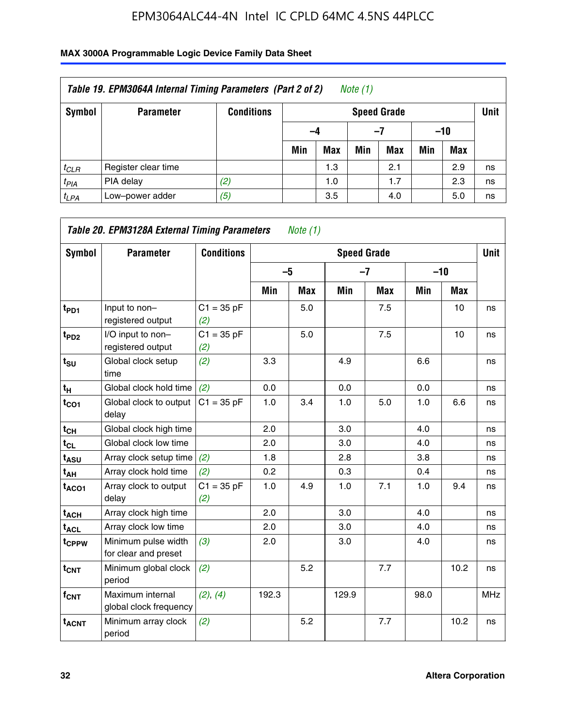| Table 19. EPM3064A Internal Timing Parameters (Part 2 of 2)<br>Note $(1)$ |                     |                   |     |                    |     |            |       |            |    |  |  |
|---------------------------------------------------------------------------|---------------------|-------------------|-----|--------------------|-----|------------|-------|------------|----|--|--|
| Symbol                                                                    | <b>Parameter</b>    | <b>Conditions</b> |     | <b>Speed Grade</b> |     |            |       |            |    |  |  |
|                                                                           |                     |                   | -4  |                    |     | -7         | $-10$ |            |    |  |  |
|                                                                           |                     |                   | Min | <b>Max</b>         | Min | <b>Max</b> | Min   | <b>Max</b> |    |  |  |
| $t_{CLR}$                                                                 | Register clear time |                   |     | 1.3                |     | 2.1        |       | 2.9        | ns |  |  |
| $t_{PIA}$                                                                 | PIA delay           | (2)               |     | 1.0                |     | 1.7        |       | 2.3        | ns |  |  |
| $t_{LPA}$                                                                 | Low-power adder     | (5)               |     | 3.5                |     | 4.0        |       | 5.0        | ns |  |  |

| <b>Symbol</b>           | Table 20. EPM3128A External Timing Parameters<br><b>Parameter</b> | <b>Conditions</b>   |       | Note $(1)$ | <b>Speed Grade</b> |            |      |            | <b>Unit</b> |
|-------------------------|-------------------------------------------------------------------|---------------------|-------|------------|--------------------|------------|------|------------|-------------|
|                         |                                                                   |                     | $-5$  |            | $-7$               |            |      | $-10$      |             |
|                         |                                                                   |                     | Min   | <b>Max</b> | Min                | <b>Max</b> | Min  | <b>Max</b> |             |
| t <sub>PD1</sub>        | Input to non-<br>registered output                                | $C1 = 35 pF$<br>(2) |       | 5.0        |                    | 7.5        |      | 10         | ns          |
| $t_{PD2}$               | I/O input to non-<br>registered output                            | $C1 = 35 pF$<br>(2) |       | 5.0        |                    | 7.5        |      | 10         | ns          |
| $t_{\text{SU}}$         | Global clock setup<br>time                                        | (2)                 | 3.3   |            | 4.9                |            | 6.6  |            | ns          |
| $t_H$                   | Global clock hold time                                            | (2)                 | 0.0   |            | 0.0                |            | 0.0  |            | ns          |
| $t_{CO1}$               | Global clock to output<br>delay                                   | $C1 = 35 pF$        | 1.0   | 3.4        | 1.0                | 5.0        | 1.0  | 6.6        | ns          |
| $t_{CH}$                | Global clock high time                                            |                     | 2.0   |            | 3.0                |            | 4.0  |            | ns          |
| $t_{CL}$                | Global clock low time                                             |                     | 2.0   |            | 3.0                |            | 4.0  |            | ns          |
| t <sub>ASU</sub>        | Array clock setup time                                            | (2)                 | 1.8   |            | 2.8                |            | 3.8  |            | ns          |
| t <sub>AH</sub>         | Array clock hold time                                             | (2)                 | 0.2   |            | 0.3                |            | 0.4  |            | ns          |
| $t_{ACO1}$              | Array clock to output<br>delay                                    | $C1 = 35 pF$<br>(2) | 1.0   | 4.9        | 1.0                | 7.1        | 1.0  | 9.4        | ns          |
| $t_{ACH}$               | Array clock high time                                             |                     | 2.0   |            | 3.0                |            | 4.0  |            | ns          |
| $t_{\sf ACL}$           | Array clock low time                                              |                     | 2.0   |            | 3.0                |            | 4.0  |            | ns          |
| t <sub>CPPW</sub>       | Minimum pulse width<br>for clear and preset                       | (3)                 | 2.0   |            | 3.0                |            | 4.0  |            | ns          |
| $t_{\text{CNT}}$        | Minimum global clock<br>period                                    | (2)                 |       | 5.2        |                    | 7.7        |      | 10.2       | ns          |
| f <sub>CNT</sub>        | Maximum internal<br>global clock frequency                        | (2), (4)            | 192.3 |            | 129.9              |            | 98.0 |            | <b>MHz</b>  |
| <b>t<sub>ACNT</sub></b> | Minimum array clock<br>period                                     | (2)                 |       | 5.2        |                    | 7.7        |      | 10.2       | ns          |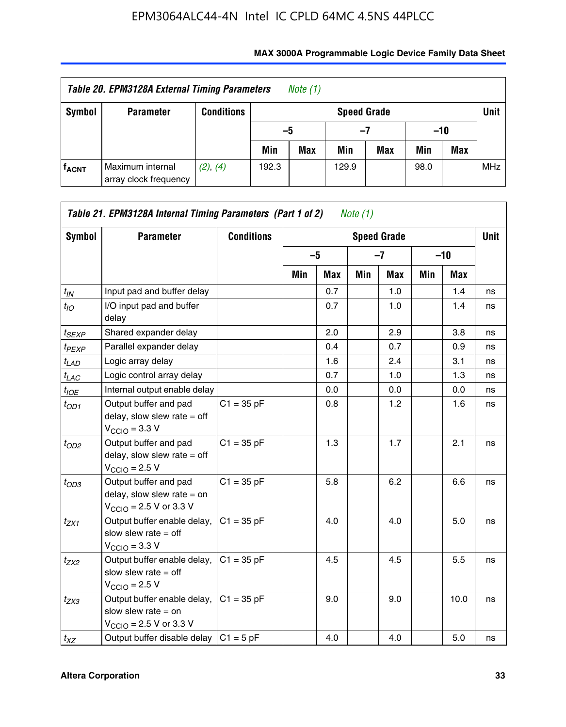| Table 20. EPM3128A External Timing Parameters<br>Note $(1)$ |                                           |                   |                            |            |       |     |       |     |            |  |  |
|-------------------------------------------------------------|-------------------------------------------|-------------------|----------------------------|------------|-------|-----|-------|-----|------------|--|--|
| Symbol                                                      | <b>Parameter</b>                          | <b>Conditions</b> | Unit<br><b>Speed Grade</b> |            |       |     |       |     |            |  |  |
|                                                             |                                           |                   | -5                         |            | $-7$  |     | $-10$ |     |            |  |  |
|                                                             |                                           |                   | Min                        | <b>Max</b> | Min   | Max | Min   | Max |            |  |  |
| <b>f<sub>ACNT</sub></b>                                     | Maximum internal<br>array clock frequency | (2), (4)          | 192.3                      |            | 129.9 |     | 98.0  |     | <b>MHz</b> |  |  |

| Symbol            | <b>Parameter</b>                                                                                             | <b>Conditions</b> |     |      |     | <b>Speed Grade</b> |     |            | Unit |
|-------------------|--------------------------------------------------------------------------------------------------------------|-------------------|-----|------|-----|--------------------|-----|------------|------|
|                   |                                                                                                              |                   |     | $-5$ |     | $-7$               |     | $-10$      |      |
|                   |                                                                                                              |                   | Min | Max  | Min | <b>Max</b>         | Min | <b>Max</b> |      |
| $t_{IN}$          | Input pad and buffer delay                                                                                   |                   |     | 0.7  |     | 1.0                |     | 1.4        | ns   |
| $t_{IO}$          | I/O input pad and buffer<br>delay                                                                            |                   |     | 0.7  |     | 1.0                |     | 1.4        | ns   |
| $t_{SEXP}$        | Shared expander delay                                                                                        |                   |     | 2.0  |     | 2.9                |     | 3.8        | ns   |
| t <sub>PEXP</sub> | Parallel expander delay                                                                                      |                   |     | 0.4  |     | 0.7                |     | 0.9        | ns   |
| $t_{LAD}$         | Logic array delay                                                                                            |                   |     | 1.6  |     | 2.4                |     | 3.1        | ns   |
| $t_{LAC}$         | Logic control array delay                                                                                    |                   |     | 0.7  |     | 1.0                |     | 1.3        | ns   |
| $t_{IOE}$         | Internal output enable delay                                                                                 |                   |     | 0.0  |     | 0.0                |     | 0.0        | ns   |
| $t_{OD1}$         | Output buffer and pad<br>delay, slow slew rate $=$ off<br>$V_{\text{CCIO}} = 3.3 V$                          | $C1 = 35 pF$      |     | 0.8  |     | 1.2                |     | 1.6        | ns   |
| $t_{OD2}$         | Output buffer and pad<br>delay, slow slew rate $=$ off<br>$V_{\text{CCIO}} = 2.5 V$                          | $C1 = 35 pF$      |     | 1.3  |     | 1.7                |     | 2.1        | ns   |
| $t_{OD3}$         | Output buffer and pad<br>delay, slow slew rate $=$ on<br>$V_{\text{CCIO}} = 2.5 \text{ V or } 3.3 \text{ V}$ | $C1 = 35 pF$      |     | 5.8  |     | 6.2                |     | 6.6        | ns   |
| $t_{ZX1}$         | Output buffer enable delay,<br>slow slew rate $=$ off<br>$V_{\text{CCIO}} = 3.3 V$                           | $C1 = 35 pF$      |     | 4.0  |     | 4.0                |     | 5.0        | ns   |
| $t_{ZX2}$         | Output buffer enable delay,<br>slow slew rate $=$ off<br>$VCCIO = 2.5 V$                                     | $C1 = 35 pF$      |     | 4.5  |     | 4.5                |     | 5.5        | ns   |
| $t_{ZX3}$         | Output buffer enable delay,<br>slow slew rate $=$ on<br>$V_{\text{CCIO}} = 2.5 \text{ V or } 3.3 \text{ V}$  | $C1 = 35 pF$      |     | 9.0  |     | 9.0                |     | 10.0       | ns   |
| $t_{XZ}$          | Output buffer disable delay                                                                                  | $C1 = 5 pF$       |     | 4.0  |     | 4.0                |     | 5.0        | ns   |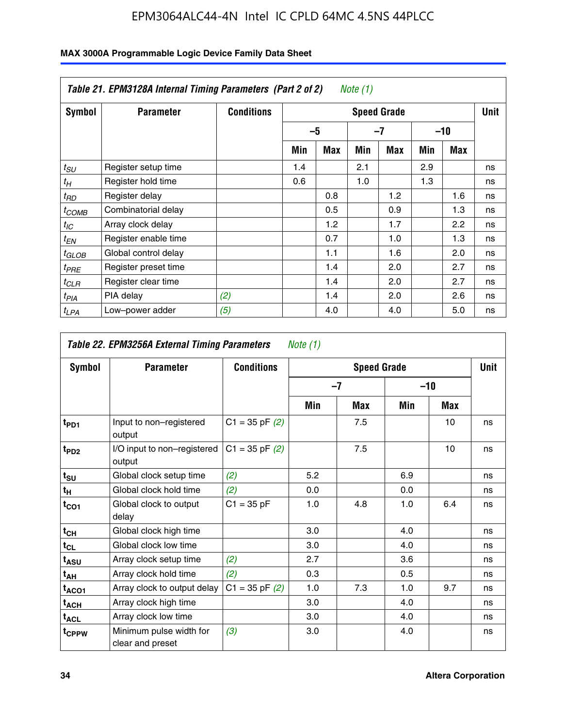|                  | Table 21. EPM3128A Internal Timing Parameters (Part 2 of 2)<br>Note (1) |                   |                    |            |     |     |     |       |    |  |  |
|------------------|-------------------------------------------------------------------------|-------------------|--------------------|------------|-----|-----|-----|-------|----|--|--|
| Symbol           | <b>Parameter</b>                                                        | <b>Conditions</b> | <b>Speed Grade</b> |            |     |     |     |       |    |  |  |
|                  |                                                                         |                   |                    | $-5$       |     | -7  |     | $-10$ |    |  |  |
|                  |                                                                         |                   | Min                | <b>Max</b> | Min | Max | Min | Max   |    |  |  |
| $t_{SU}$         | Register setup time                                                     |                   | 1.4                |            | 2.1 |     | 2.9 |       | ns |  |  |
| $t_H$            | Register hold time                                                      |                   | 0.6                |            | 1.0 |     | 1.3 |       | ns |  |  |
| $t_{RD}$         | Register delay                                                          |                   |                    | 0.8        |     | 1.2 |     | 1.6   | ns |  |  |
| ${}^t$ COMB      | Combinatorial delay                                                     |                   |                    | 0.5        |     | 0.9 |     | 1.3   | ns |  |  |
| $t_{IC}$         | Array clock delay                                                       |                   |                    | 1.2        |     | 1.7 |     | 2.2   | ns |  |  |
| $t_{EN}$         | Register enable time                                                    |                   |                    | 0.7        |     | 1.0 |     | 1.3   | ns |  |  |
| $t_{GLOB}$       | Global control delay                                                    |                   |                    | 1.1        |     | 1.6 |     | 2.0   | ns |  |  |
| $t_{PRE}$        | Register preset time                                                    |                   |                    | 1.4        |     | 2.0 |     | 2.7   | ns |  |  |
| ${}^tCLR$        | Register clear time                                                     |                   |                    | 1.4        |     | 2.0 |     | 2.7   | ns |  |  |
| t <sub>PIA</sub> | PIA delay                                                               | (2)               |                    | 1.4        |     | 2.0 |     | 2.6   | ns |  |  |
| ${}^tLPA$        | Low-power adder                                                         | (5)               |                    | 4.0        |     | 4.0 |     | 5.0   | ns |  |  |

|                   | Table 22. EPM3256A External Timing Parameters<br>Note $(1)$ |                    |     |                    |       |            |             |  |  |  |  |  |
|-------------------|-------------------------------------------------------------|--------------------|-----|--------------------|-------|------------|-------------|--|--|--|--|--|
| Symbol            | <b>Parameter</b>                                            | <b>Conditions</b>  |     | <b>Speed Grade</b> |       |            | <b>Unit</b> |  |  |  |  |  |
|                   |                                                             |                    |     | $-7$               | $-10$ |            |             |  |  |  |  |  |
|                   |                                                             |                    | Min | Max                | Min   | <b>Max</b> |             |  |  |  |  |  |
| t <sub>PD1</sub>  | Input to non-registered<br>output                           | $C1 = 35$ pF $(2)$ |     | 7.5                |       | 10         | ns          |  |  |  |  |  |
| t <sub>PD2</sub>  | I/O input to non-registered<br>output                       | $C1 = 35$ pF $(2)$ |     | 7.5                |       | 10         | ns          |  |  |  |  |  |
| $t_{\text{SU}}$   | Global clock setup time                                     | (2)                | 5.2 |                    | 6.9   |            | ns          |  |  |  |  |  |
| $t_H$             | Global clock hold time                                      | (2)                | 0.0 |                    | 0.0   |            | ns          |  |  |  |  |  |
| $t_{CO1}$         | Global clock to output<br>delay                             | $C1 = 35 pF$       | 1.0 | 4.8                | 1.0   | 6.4        | ns          |  |  |  |  |  |
| $t_{CH}$          | Global clock high time                                      |                    | 3.0 |                    | 4.0   |            | ns          |  |  |  |  |  |
| $t_{CL}$          | Global clock low time                                       |                    | 3.0 |                    | 4.0   |            | ns          |  |  |  |  |  |
| $t_{ASU}$         | Array clock setup time                                      | (2)                | 2.7 |                    | 3.6   |            | ns          |  |  |  |  |  |
| $t_{AH}$          | Array clock hold time                                       | (2)                | 0.3 |                    | 0.5   |            | ns          |  |  |  |  |  |
| $t_{ACO1}$        | Array clock to output delay                                 | $C1 = 35$ pF $(2)$ | 1.0 | 7.3                | 1.0   | 9.7        | ns          |  |  |  |  |  |
| $t_{ACH}$         | Array clock high time                                       |                    | 3.0 |                    | 4.0   |            | ns          |  |  |  |  |  |
| $t_{\sf ACL}$     | Array clock low time                                        |                    | 3.0 |                    | 4.0   |            | ns          |  |  |  |  |  |
| t <sub>CPPW</sub> | Minimum pulse width for<br>clear and preset                 | (3)                | 3.0 |                    | 4.0   |            | ns          |  |  |  |  |  |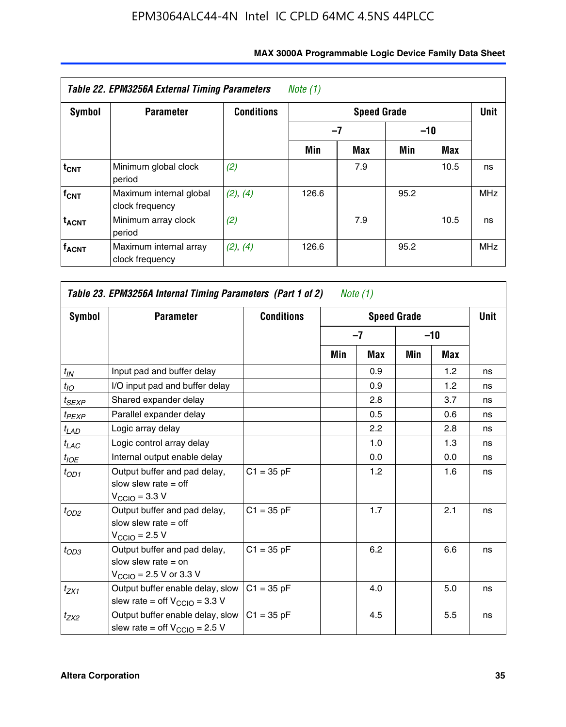| <b>Symbol</b>           | <b>Parameter</b>                           | <b>Conditions</b> |       | Unit |       |            |            |
|-------------------------|--------------------------------------------|-------------------|-------|------|-------|------------|------------|
|                         |                                            |                   | $-7$  |      | $-10$ |            |            |
|                         |                                            |                   | Min   | Max  | Min   | <b>Max</b> |            |
| $t_{\text{CNT}}$        | Minimum global clock<br>period             | (2)               |       | 7.9  |       | 10.5       | ns         |
| $f_{CNT}$               | Maximum internal global<br>clock frequency | (2), (4)          | 126.6 |      | 95.2  |            | <b>MHz</b> |
| <b>t<sub>ACNT</sub></b> | Minimum array clock<br>period              | (2)               |       | 7.9  |       | 10.5       | ns         |
| <b>f<sub>ACNT</sub></b> | Maximum internal array<br>clock frequency  | (2), (4)          | 126.6 |      | 95.2  |            | <b>MHz</b> |

| Symbol             | <b>Parameter</b>                                                                                             | <b>Conditions</b> |     |      | <b>Speed Grade</b> |       | <b>Unit</b> |
|--------------------|--------------------------------------------------------------------------------------------------------------|-------------------|-----|------|--------------------|-------|-------------|
|                    |                                                                                                              |                   |     | $-7$ |                    | $-10$ |             |
|                    |                                                                                                              |                   | Min | Max  | Min                | Max   |             |
| $t_{IN}$           | Input pad and buffer delay                                                                                   |                   |     | 0.9  |                    | 1.2   | ns          |
| $t_{IO}$           | I/O input pad and buffer delay                                                                               |                   |     | 0.9  |                    | 1.2   | ns          |
| t <sub>SEXP</sub>  | Shared expander delay                                                                                        |                   |     | 2.8  |                    | 3.7   | ns          |
| <sup>t</sup> PEXP  | Parallel expander delay                                                                                      |                   |     | 0.5  |                    | 0.6   | ns          |
| t <sub>LAD</sub>   | Logic array delay                                                                                            |                   |     | 2.2  |                    | 2.8   | ns          |
| $t_{LAC}$          | Logic control array delay                                                                                    |                   |     | 1.0  |                    | 1.3   | ns          |
| $t_{\mathit{IOE}}$ | Internal output enable delay                                                                                 |                   |     | 0.0  |                    | 0.0   | ns          |
| $t_{OD1}$          | Output buffer and pad delay,<br>slow slew rate $=$ off<br>$V_{\text{CCIO}} = 3.3 V$                          | $C1 = 35 pF$      |     | 1.2  |                    | 1.6   | ns          |
| $t_{OD2}$          | Output buffer and pad delay,<br>slow slew rate $=$ off<br>$V_{\text{CCIO}} = 2.5 V$                          | $C1 = 35 pF$      |     | 1.7  |                    | 2.1   | ns          |
| $t_{OD3}$          | Output buffer and pad delay,<br>slow slew rate $=$ on<br>$V_{\text{CCIO}} = 2.5 \text{ V or } 3.3 \text{ V}$ | $C1 = 35 pF$      |     | 6.2  |                    | 6.6   | ns          |
| $t_{ZX1}$          | Output buffer enable delay, slow<br>slew rate = off $V_{\text{CCIO}} = 3.3$ V                                | $C1 = 35 pF$      |     | 4.0  |                    | 5.0   | ns          |
| $t_{ZX2}$          | Output buffer enable delay, slow<br>slew rate = off $V_{\text{CCIO}} = 2.5$ V                                | $C1 = 35 pF$      |     | 4.5  |                    | 5.5   | ns          |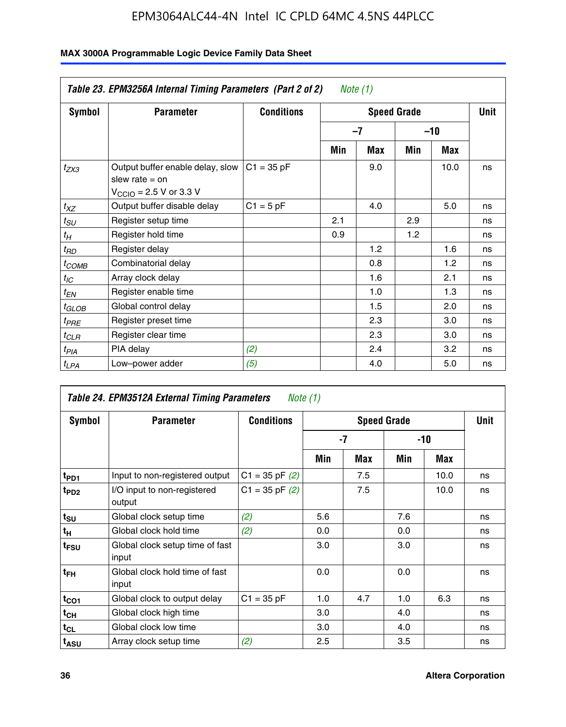|                       | Table 23. EPM3256A Internal Timing Parameters (Part 2 of 2)                                                 |                   |     | Note (1)           |       |            |    |  |  |
|-----------------------|-------------------------------------------------------------------------------------------------------------|-------------------|-----|--------------------|-------|------------|----|--|--|
| <b>Symbol</b>         | <b>Parameter</b>                                                                                            | <b>Conditions</b> |     | <b>Speed Grade</b> |       |            |    |  |  |
|                       |                                                                                                             |                   |     | $-7$               | $-10$ |            |    |  |  |
|                       |                                                                                                             |                   | Min | Max                | Min   | <b>Max</b> |    |  |  |
| $t_{ZX3}$             | Output buffer enable delay, slow<br>slew rate $=$ on<br>$V_{\text{CCIO}} = 2.5 \text{ V or } 3.3 \text{ V}$ | $C1 = 35 pF$      |     | 9.0                |       | 10.0       | ns |  |  |
| $t_{XZ}$              | Output buffer disable delay                                                                                 | $C1 = 5$ pF       |     | 4.0                |       | 5.0        | ns |  |  |
| $t_{\scriptstyle SU}$ | Register setup time                                                                                         |                   | 2.1 |                    | 2.9   |            | ns |  |  |
| $t_H$                 | Register hold time                                                                                          |                   | 0.9 |                    | 1.2   |            | ns |  |  |
| $t_{RD}$              | Register delay                                                                                              |                   |     | 1.2                |       | 1.6        | ns |  |  |
| $t_{COMB}$            | Combinatorial delay                                                                                         |                   |     | 0.8                |       | 1.2        | ns |  |  |
| $t_{IC}$              | Array clock delay                                                                                           |                   |     | 1.6                |       | 2.1        | ns |  |  |
| $t_{EN}$              | Register enable time                                                                                        |                   |     | 1.0                |       | 1.3        | ns |  |  |
| t <sub>GLOB</sub>     | Global control delay                                                                                        |                   |     | 1.5                |       | 2.0        | ns |  |  |
| $t_{PRE}$             | Register preset time                                                                                        |                   |     | 2.3                |       | 3.0        | ns |  |  |
| $t_{CLR}$             | Register clear time                                                                                         |                   |     | 2.3                |       | 3.0        | ns |  |  |
| t <sub>PIA</sub>      | PIA delay                                                                                                   | (2)               |     | 2.4                |       | 3.2        | ns |  |  |
| $t_{LPA}$             | Low-power adder                                                                                             | (5)               |     | 4.0                |       | 5.0        | ns |  |  |

| Table 24. EPM3512A External Timing Parameters<br>Note (1) |                                          |                    |                    |     |       |      |    |
|-----------------------------------------------------------|------------------------------------------|--------------------|--------------------|-----|-------|------|----|
| Symbol                                                    | <b>Parameter</b>                         | <b>Conditions</b>  | <b>Speed Grade</b> |     |       | Unit |    |
|                                                           |                                          |                    | -7                 |     | $-10$ |      |    |
|                                                           |                                          |                    | Min                | Max | Min   | Max  |    |
| t <sub>PD1</sub>                                          | Input to non-registered output           | $C1 = 35$ pF $(2)$ |                    | 7.5 |       | 10.0 | ns |
| $t_{PD2}$                                                 | I/O input to non-registered<br>output    | $C1 = 35 pF(2)$    |                    | 7.5 |       | 10.0 | ns |
| $t_{\text{SU}}$                                           | Global clock setup time                  | (2)                | 5.6                |     | 7.6   |      | ns |
| $t_H$                                                     | Global clock hold time                   | (2)                | 0.0                |     | 0.0   |      | ns |
| t <sub>FSU</sub>                                          | Global clock setup time of fast<br>input |                    | 3.0                |     | 3.0   |      | ns |
| t <sub>FH</sub>                                           | Global clock hold time of fast<br>input  |                    | 0.0                |     | 0.0   |      | ns |
| $t_{CO1}$                                                 | Global clock to output delay             | $C1 = 35 pF$       | 1.0                | 4.7 | 1.0   | 6.3  | ns |
| $t_{CH}$                                                  | Global clock high time                   |                    | 3.0                |     | 4.0   |      | ns |
| $t_{CL}$                                                  | Global clock low time                    |                    | 3.0                |     | 4.0   |      | ns |
| t <sub>ASU</sub>                                          | Array clock setup time                   | (2)                | 2.5                |     | 3.5   |      | ns |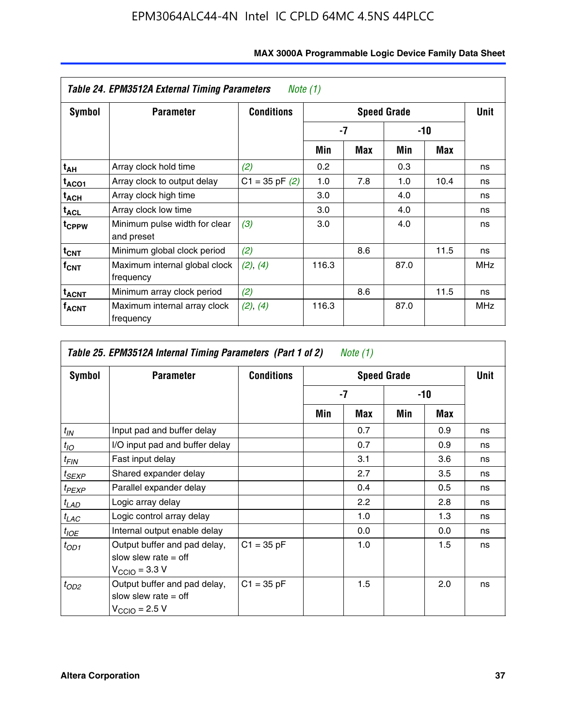| Table 24. EPM3512A External Timing Parameters<br>Note (1) |                                             |                    |                    |     |       |      |            |
|-----------------------------------------------------------|---------------------------------------------|--------------------|--------------------|-----|-------|------|------------|
| Symbol                                                    | <b>Parameter</b>                            | <b>Conditions</b>  | <b>Speed Grade</b> |     |       |      |            |
|                                                           |                                             |                    | -7                 |     | $-10$ |      |            |
|                                                           |                                             |                    | Min                | Max | Min   | Max  |            |
| t <sub>АН</sub>                                           | Array clock hold time                       | (2)                | 0.2                |     | 0.3   |      | ns         |
| t <sub>ACO1</sub>                                         | Array clock to output delay                 | $C1 = 35$ pF $(2)$ | 1.0                | 7.8 | 1.0   | 10.4 | ns         |
| t <sub>АСН</sub>                                          | Array clock high time                       |                    | 3.0                |     | 4.0   |      | ns         |
| t <sub>ACL</sub>                                          | Array clock low time                        |                    | 3.0                |     | 4.0   |      | ns         |
| t <sub>CPPW</sub>                                         | Minimum pulse width for clear<br>and preset | (3)                | 3.0                |     | 4.0   |      | ns         |
| $t_{\mathsf{CNT}}$                                        | Minimum global clock period                 | (2)                |                    | 8.6 |       | 11.5 | ns         |
| f <sub>CNT</sub>                                          | Maximum internal global clock<br>frequency  | (2), (4)           | 116.3              |     | 87.0  |      | <b>MHz</b> |
| $t_{ACNT}$                                                | Minimum array clock period                  | (2)                |                    | 8.6 |       | 11.5 | ns         |
| <b>TACNT</b>                                              | Maximum internal array clock<br>frequency   | (2), (4)           | 116.3              |     | 87.0  |      | <b>MHz</b> |

| Table 25. EPM3512A Internal Timing Parameters (Part 1 of 2) Note $(1)$ |                                                                                     |                   |     |      |       |     |    |
|------------------------------------------------------------------------|-------------------------------------------------------------------------------------|-------------------|-----|------|-------|-----|----|
| Symbol                                                                 | <b>Parameter</b>                                                                    | <b>Conditions</b> |     | Unit |       |     |    |
|                                                                        |                                                                                     |                   | -7  |      | $-10$ |     |    |
|                                                                        |                                                                                     |                   | Min | Max  | Min   | Max |    |
| $t_{IN}$                                                               | Input pad and buffer delay                                                          |                   |     | 0.7  |       | 0.9 | ns |
| $t_{IO}$                                                               | I/O input pad and buffer delay                                                      |                   |     | 0.7  |       | 0.9 | ns |
| $t_{FIN}$                                                              | Fast input delay                                                                    |                   |     | 3.1  |       | 3.6 | ns |
| $t_{SEXP}$                                                             | Shared expander delay                                                               |                   |     | 2.7  |       | 3.5 | ns |
| $t_{PEXP}$                                                             | Parallel expander delay                                                             |                   |     | 0.4  |       | 0.5 | ns |
| $t_{LAD}$                                                              | Logic array delay                                                                   |                   |     | 2.2  |       | 2.8 | ns |
| $t_{LAC}$                                                              | Logic control array delay                                                           |                   |     | 1.0  |       | 1.3 | ns |
| $t_{IOE}$                                                              | Internal output enable delay                                                        |                   |     | 0.0  |       | 0.0 | ns |
| $t_{OD1}$                                                              | Output buffer and pad delay,<br>slow slew rate $=$ off<br>$V_{\rm CClO}$ = 3.3 V    | $C1 = 35 pF$      |     | 1.0  |       | 1.5 | ns |
| $t_{OD2}$                                                              | Output buffer and pad delay,<br>slow slew rate $=$ off<br>$V_{\text{CCIO}} = 2.5 V$ | $C1 = 35 pF$      |     | 1.5  |       | 2.0 | ns |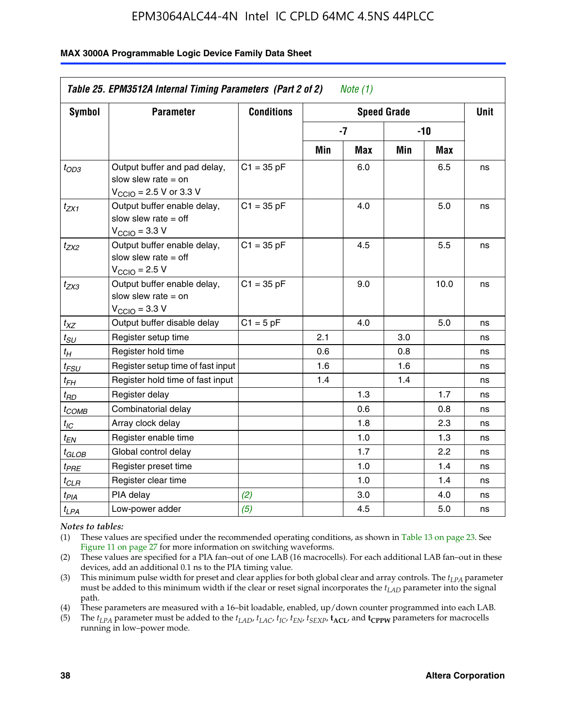#### **MAX 3000A Programmable Logic Device Family Data Sheet**

|                       | Table 25. EPM3512A Internal Timing Parameters (Part 2 of 2)<br>Note $(1)$                                    |                   |                          |             |     |      |    |  |
|-----------------------|--------------------------------------------------------------------------------------------------------------|-------------------|--------------------------|-------------|-----|------|----|--|
| <b>Symbol</b>         | <b>Parameter</b>                                                                                             | <b>Conditions</b> |                          | <b>Unit</b> |     |      |    |  |
|                       |                                                                                                              |                   | <b>Speed Grade</b><br>-7 |             | -10 |      |    |  |
|                       |                                                                                                              |                   | Min                      | Max         | Min | Max  |    |  |
| $t_{OD3}$             | Output buffer and pad delay,<br>slow slew rate $=$ on<br>$V_{\text{CCIO}} = 2.5 \text{ V or } 3.3 \text{ V}$ | $C1 = 35 pF$      |                          | 6.0         |     | 6.5  | ns |  |
| $t_{ZX1}$             | Output buffer enable delay,<br>slow slew rate $=$ off<br>$V_{\text{CCIO}} = 3.3 \text{ V}$                   | $C1 = 35 pF$      |                          | 4.0         |     | 5.0  | ns |  |
| $t_{ZX2}$             | Output buffer enable delay,<br>slow slew rate $=$ off<br>$V_{\text{CCIO}} = 2.5 V$                           | $C1 = 35 pF$      |                          | 4.5         |     | 5.5  | ns |  |
| t <sub>ZX3</sub>      | Output buffer enable delay,<br>slow slew rate $=$ on<br>$V_{\text{CCIO}} = 3.3 V$                            | $C1 = 35 pF$      |                          | 9.0         |     | 10.0 | ns |  |
| $t_{XZ}$              | Output buffer disable delay                                                                                  | $C1 = 5pF$        |                          | 4.0         |     | 5.0  | ns |  |
| $t_{\scriptstyle SU}$ | Register setup time                                                                                          |                   | 2.1                      |             | 3.0 |      | ns |  |
| $t_H$                 | Register hold time                                                                                           |                   | 0.6                      |             | 0.8 |      | ns |  |
| $t_{\it FSU}$         | Register setup time of fast input                                                                            |                   | 1.6                      |             | 1.6 |      | ns |  |
| t <sub>FH</sub>       | Register hold time of fast input                                                                             |                   | 1.4                      |             | 1.4 |      | ns |  |
| $t_{RD}$              | Register delay                                                                                               |                   |                          | 1.3         |     | 1.7  | ns |  |
| t <sub>COMB</sub>     | Combinatorial delay                                                                                          |                   |                          | 0.6         |     | 0.8  | ns |  |
| $t_{IC}$              | Array clock delay                                                                                            |                   |                          | 1.8         |     | 2.3  | ns |  |
| $t_{EN}$              | Register enable time                                                                                         |                   |                          | 1.0         |     | 1.3  | ns |  |
| t <sub>GLOB</sub>     | Global control delay                                                                                         |                   |                          | 1.7         |     | 2.2  | ns |  |
| $t_{PRE}$             | Register preset time                                                                                         |                   |                          | 1.0         |     | 1.4  | ns |  |
| $t_{CLR}$             | Register clear time                                                                                          |                   |                          | 1.0         |     | 1.4  | ns |  |
| $t_{PIA}$             | PIA delay                                                                                                    | (2)               |                          | 3.0         |     | 4.0  | ns |  |
| $t_{LPA}$             | Low-power adder                                                                                              | (5)               |                          | 4.5         |     | 5.0  | ns |  |

*Notes to tables:*

(1) These values are specified under the recommended operating conditions, as shown in Table 13 on page 23. See Figure 11 on page 27 for more information on switching waveforms.

(2) These values are specified for a PIA fan–out of one LAB (16 macrocells). For each additional LAB fan–out in these devices, add an additional 0.1 ns to the PIA timing value.

(3) This minimum pulse width for preset and clear applies for both global clear and array controls. The *tLPA* parameter must be added to this minimum width if the clear or reset signal incorporates the *tLAD* parameter into the signal path.

(4) These parameters are measured with a 16–bit loadable, enabled, up/down counter programmed into each LAB.

(5) The  $t_{LPA}$  parameter must be added to the  $t_{LAD}$ ,  $t_{LAC}$ ,  $t_{IC}$ ,  $t_{EN}$ ,  $t_{SEXP}$ ,  $t_{ACL}$ , and  $t_{CPPW}$  parameters for macrocells running in low–power mode.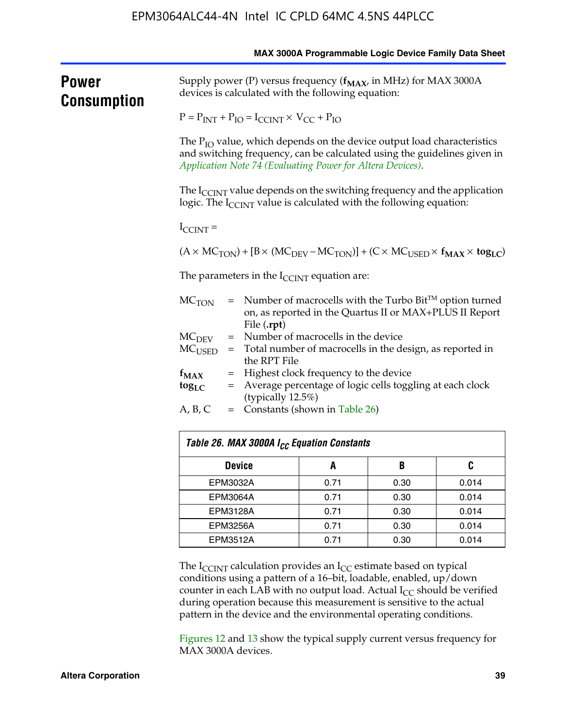|                                    | MAX 3000A Programmable Logic Device Family Data Sheet                                                                    |                                                                                                                                    |                                                            |                                                                                |                                                                                                                |  |  |
|------------------------------------|--------------------------------------------------------------------------------------------------------------------------|------------------------------------------------------------------------------------------------------------------------------------|------------------------------------------------------------|--------------------------------------------------------------------------------|----------------------------------------------------------------------------------------------------------------|--|--|
| <b>Power</b><br><b>Consumption</b> | Supply power (P) versus frequency $(f_{MAX}$ in MHz) for MAX 3000A<br>devices is calculated with the following equation: |                                                                                                                                    |                                                            |                                                                                |                                                                                                                |  |  |
|                                    | $P = P_{INT} + P_{IO} = I_{CCINT} \times V_{CC} + P_{IO}$                                                                |                                                                                                                                    |                                                            |                                                                                |                                                                                                                |  |  |
|                                    |                                                                                                                          |                                                                                                                                    | Application Note 74 (Evaluating Power for Altera Devices). | The $P_{IO}$ value, which depends on the device output load characteristics    | and switching frequency, can be calculated using the guidelines given in                                       |  |  |
|                                    |                                                                                                                          |                                                                                                                                    |                                                            | logic. The I <sub>CCINT</sub> value is calculated with the following equation: | The $I_{\text{CCINT}}$ value depends on the switching frequency and the application                            |  |  |
|                                    | $I_{\text{CCINT}}$ =                                                                                                     |                                                                                                                                    |                                                            |                                                                                |                                                                                                                |  |  |
|                                    |                                                                                                                          |                                                                                                                                    |                                                            |                                                                                | $(A \times MC_{TON}) + [B \times (MC_{DEV} - MC_{TON})] + (C \times MC_{USED} \times f_{MAX} \times tog_{LC})$ |  |  |
|                                    | The parameters in the $I_{\text{CCINT}}$ equation are:                                                                   |                                                                                                                                    |                                                            |                                                                                |                                                                                                                |  |  |
|                                    | MC <sub>TON</sub>                                                                                                        | $=$ Number of macrocells with the Turbo Bit <sup>TM</sup> option turned<br>on, as reported in the Quartus II or MAX+PLUS II Report |                                                            |                                                                                |                                                                                                                |  |  |
|                                    | = Number of macrocells in the device<br>MC <sub>DEV</sub>                                                                |                                                                                                                                    |                                                            |                                                                                |                                                                                                                |  |  |
|                                    | MC <sub>USED</sub>                                                                                                       | = Total number of macrocells in the design, as reported in                                                                         |                                                            |                                                                                |                                                                                                                |  |  |
|                                    | the RPT File<br>= Highest clock frequency to the device<br>$f_{MAX}$                                                     |                                                                                                                                    |                                                            |                                                                                |                                                                                                                |  |  |
|                                    | $\log_{LC}$                                                                                                              | = Average percentage of logic cells toggling at each clock<br>(typically 12.5%)                                                    |                                                            |                                                                                |                                                                                                                |  |  |
|                                    | A, B, C                                                                                                                  |                                                                                                                                    | $=$ Constants (shown in Table 26)                          |                                                                                |                                                                                                                |  |  |
|                                    |                                                                                                                          |                                                                                                                                    | Table 26. MAX 3000A I <sub>CC</sub> Equation Constants     |                                                                                |                                                                                                                |  |  |
|                                    |                                                                                                                          | <b>Device</b><br>A                                                                                                                 |                                                            |                                                                                | C                                                                                                              |  |  |
|                                    |                                                                                                                          | EPM3032A                                                                                                                           |                                                            | 0.30                                                                           | 0.014                                                                                                          |  |  |
|                                    | <b>EPM3064A</b>                                                                                                          |                                                                                                                                    | 0.71                                                       | 0.30                                                                           | 0.014                                                                                                          |  |  |
|                                    | EPM3128A                                                                                                                 |                                                                                                                                    | 0.71                                                       | 0.30                                                                           | 0.014                                                                                                          |  |  |
|                                    | FPM3256A                                                                                                                 |                                                                                                                                    | 0.71                                                       | 0.30                                                                           | 0.014                                                                                                          |  |  |

The  $I_{\text{CCINT}}$  calculation provides an  $I_{\text{CC}}$  estimate based on typical conditions using a pattern of a 16–bit, loadable, enabled, up/down counter in each LAB with no output load. Actual  $I_{CC}$  should be verified during operation because this measurement is sensitive to the actual pattern in the device and the environmental operating conditions.

EPM3512A 0.71 0.30 0.014

Figures 12 and 13 show the typical supply current versus frequency for MAX 3000A devices.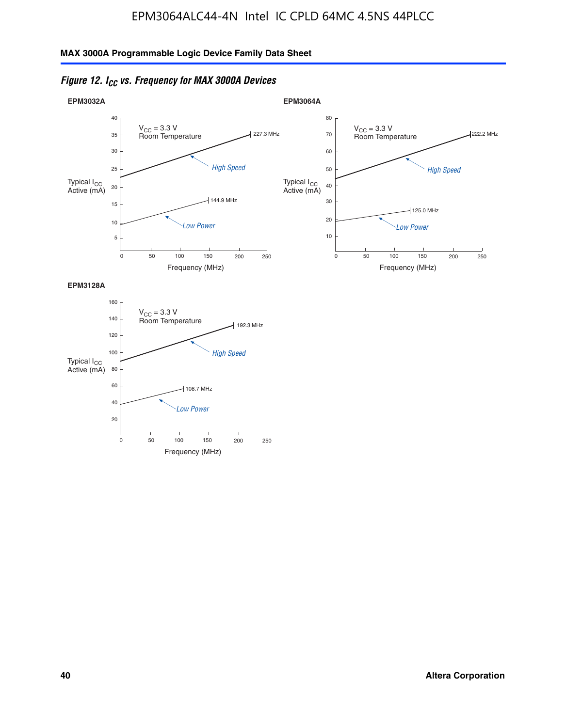



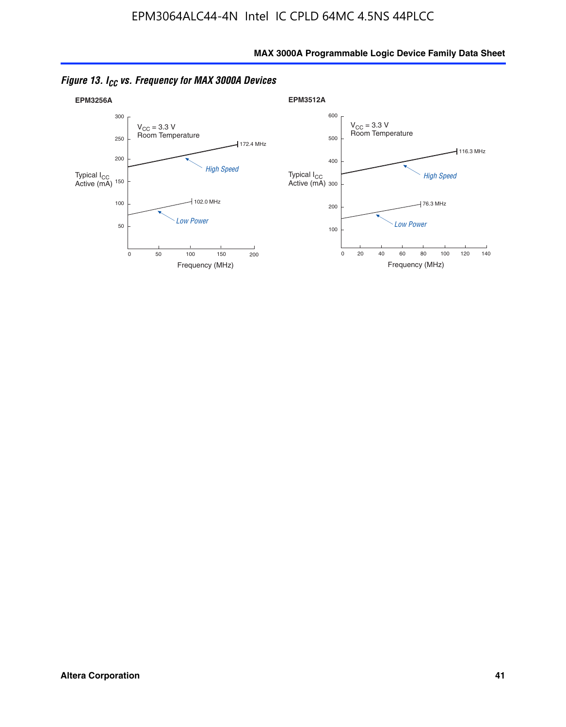

*Figure 13. ICC vs. Frequency for MAX 3000A Devices*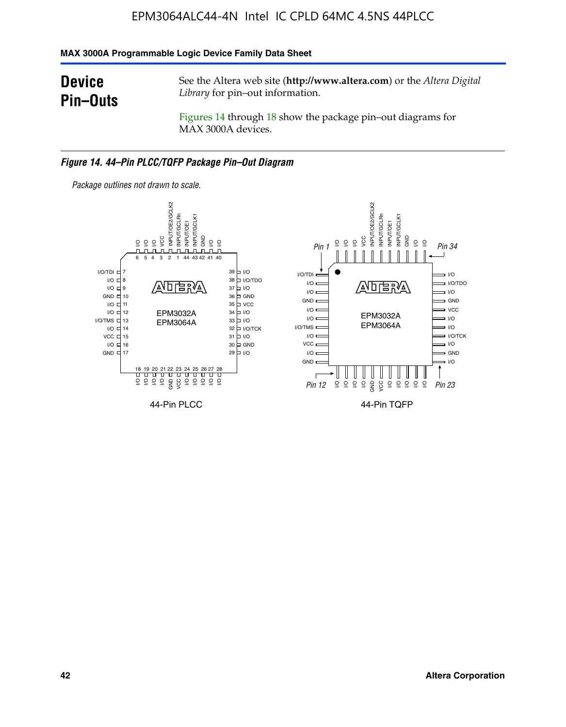#### **MAX 3000A Programmable Logic Device Family Data Sheet**

# **Device Pin–Outs**

See the Altera web site (**http://www.altera.com**) or the *Altera Digital Library* for pin–out information.

Figures 14 through 18 show the package pin–out diagrams for MAX 3000A devices.

#### *Figure 14. 44–Pin PLCC/TQFP Package Pin–Out Diagram*



**42 Altera Corporation**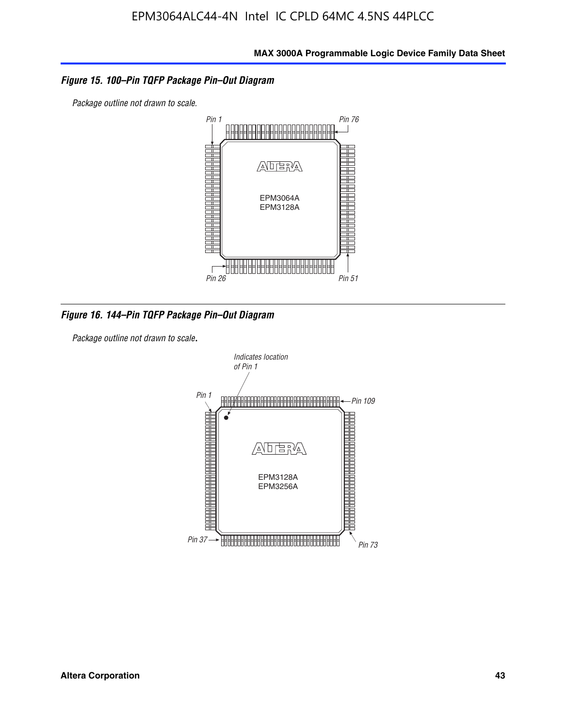#### *Figure 15. 100–Pin TQFP Package Pin–Out Diagram*

*Package outline not drawn to scale.*



*Figure 16. 144–Pin TQFP Package Pin–Out Diagram*

*Package outline not drawn to scale*.

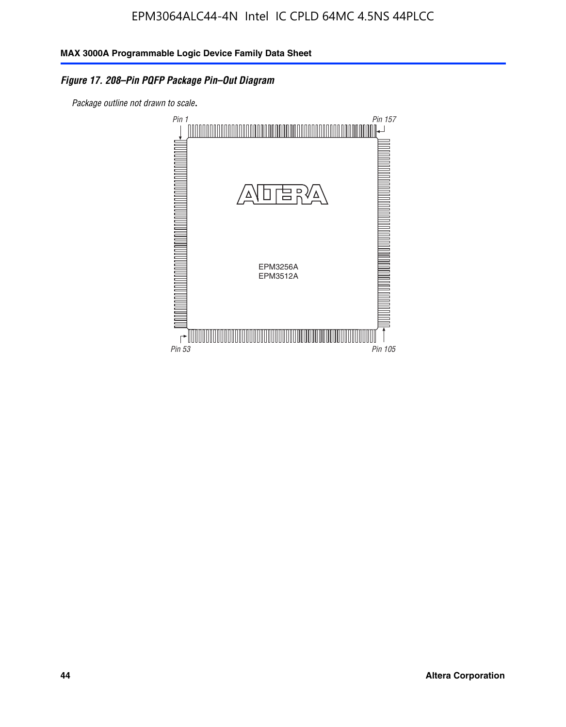### *Figure 17. 208–Pin PQFP Package Pin–Out Diagram*

*Package outline not drawn to scale*.

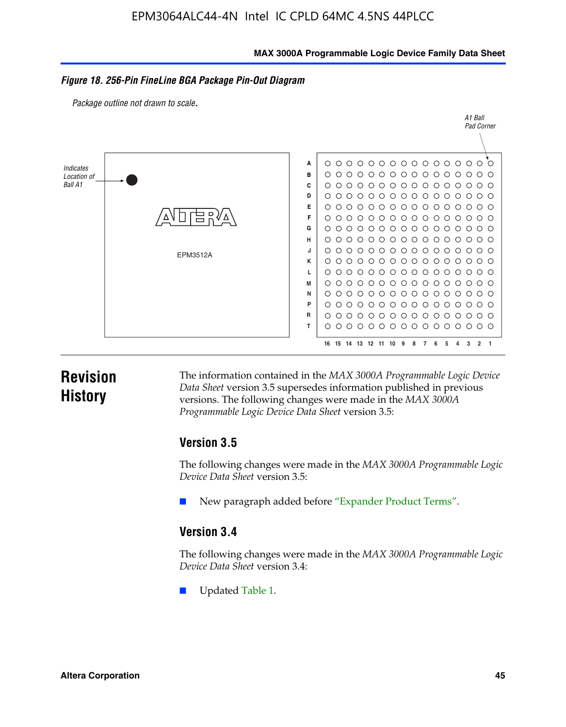#### **MAX 3000A Programmable Logic Device Family Data Sheet**

#### *Figure 18. 256-Pin FineLine BGA Package Pin-Out Diagram*

*Package outline not drawn to scale*.



# **Revision History**

The information contained in the *MAX 3000A Programmable Logic Device Data Sheet* version 3.5 supersedes information published in previous versions. The following changes were made in the *MAX 3000A Programmable Logic Device Data Sheet* version 3.5:

### **Version 3.5**

The following changes were made in the *MAX 3000A Programmable Logic Device Data Sheet* version 3.5:

New paragraph added before "Expander Product Terms".

### **Version 3.4**

The following changes were made in the *MAX 3000A Programmable Logic Device Data Sheet* version 3.4:

Updated Table 1.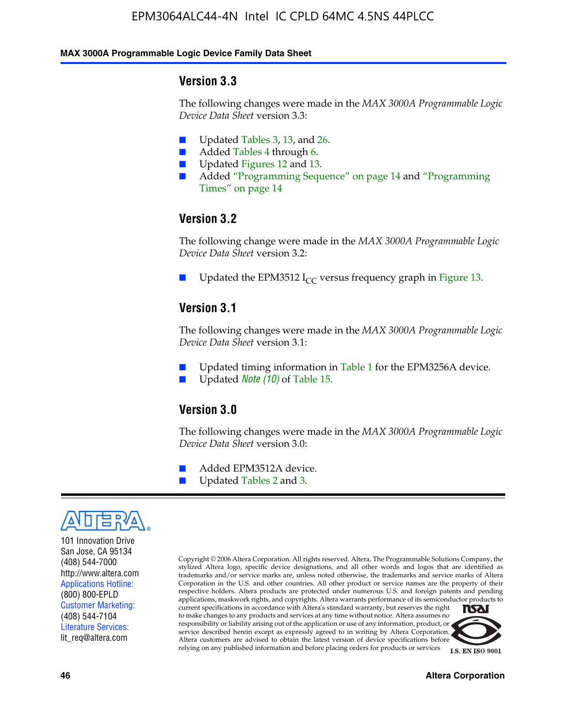#### **MAX 3000A Programmable Logic Device Family Data Sheet**

### **Version 3.3**

The following changes were made in the *MAX 3000A Programmable Logic Device Data Sheet* version 3.3:

- Updated Tables 3, 13, and 26.
- Added Tables 4 through 6.
- Updated Figures 12 and 13.
- Added "Programming Sequence" on page 14 and "Programming Times" on page 14

### **Version 3.2**

The following change were made in the *MAX 3000A Programmable Logic Device Data Sheet* version 3.2:

Updated the EPM3512 I<sub>CC</sub> versus frequency graph in Figure 13.

### **Version 3.1**

The following changes were made in the *MAX 3000A Programmable Logic Device Data Sheet* version 3.1:

- Updated timing information in Table 1 for the EPM3256A device.
- Updated *Note* (10) of Table 15.

### **Version 3.0**

The following changes were made in the *MAX 3000A Programmable Logic Device Data Sheet* version 3.0:

- Added EPM3512A device.
- Updated Tables 2 and 3.



101 Innovation Drive San Jose, CA 95134 (408) 544-7000 http://www.altera.com Applications Hotline: (800) 800-EPLD Customer Marketing: (408) 544-7104 Literature Services: lit\_req@altera.com

Copyright © 2006 Altera Corporation. All rights reserved. Altera, The Programmable Solutions Company, the stylized Altera logo, specific device designations, and all other words and logos that are identified as trademarks and/or service marks are, unless noted otherwise, the trademarks and service marks of Altera Corporation in the U.S. and other countries. All other product or service names are the property of their respective holders. Altera products are protected under numerous U.S. and foreign patents and pending applications, maskwork rights, and copyrights. Altera warrants performance of its semiconductor products to current specifications in accordance with Altera's standard warranty, but reserves the right **NSAI** to make changes to any products and services at any time without notice. Altera assumes no responsibility or liability arising out of the application or use of any information, product, or

service described herein except as expressly agreed to in writing by Altera Corporation. Altera customers are advised to obtain the latest version of device specifications before relying on any published information and before placing orders for products or services